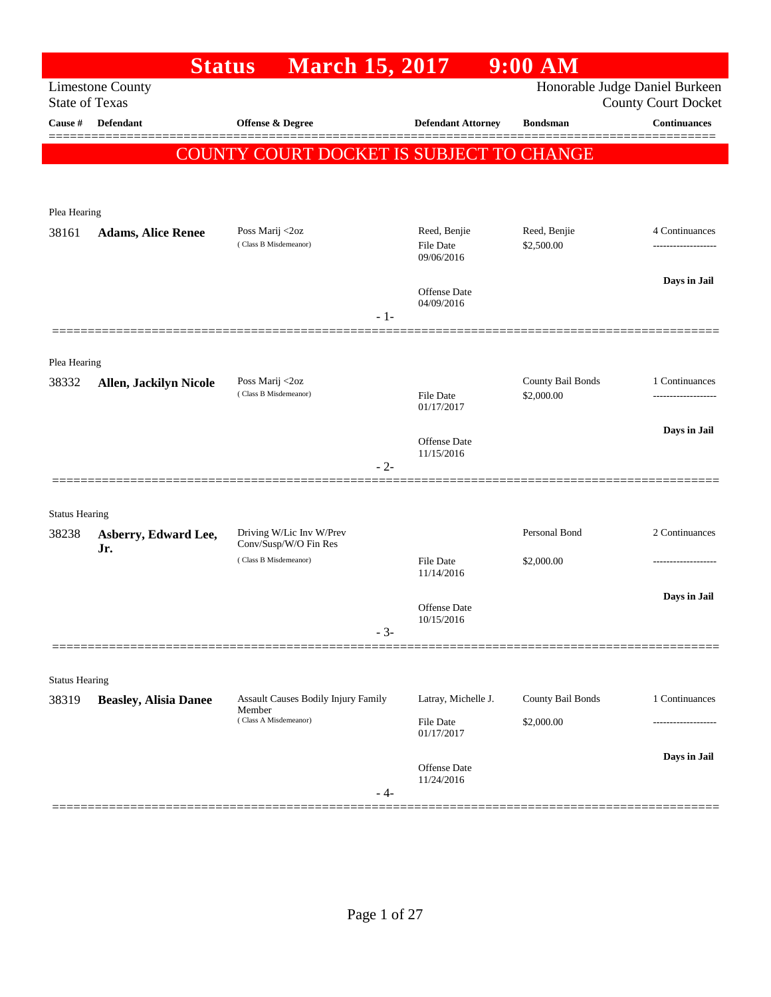| <b>March 15, 2017</b><br><b>Limestone County</b><br><b>State of Texas</b><br>Cause #<br>Defendant<br>Offense & Degree<br><b>Defendant Attorney</b><br><b>Bondsman</b><br><b>COUNTY COURT DOCKET IS SUBJECT TO CHANGE</b><br>Plea Hearing<br>Poss Marij <2oz<br>Reed, Benjie<br>Reed, Benjie<br>38161<br><b>Adams, Alice Renee</b><br>(Class B Misdemeanor)<br>\$2,500.00<br><b>File Date</b><br>09/06/2016<br>Offense Date<br>04/09/2016<br>$-1-$<br>Plea Hearing<br>Poss Marij <2oz<br>County Bail Bonds<br>38332<br><b>Allen, Jackilyn Nicole</b><br>(Class B Misdemeanor)<br><b>File Date</b><br>\$2,000.00<br>01/17/2017 | Honorable Judge Daniel Burkeen |
|------------------------------------------------------------------------------------------------------------------------------------------------------------------------------------------------------------------------------------------------------------------------------------------------------------------------------------------------------------------------------------------------------------------------------------------------------------------------------------------------------------------------------------------------------------------------------------------------------------------------------|--------------------------------|
|                                                                                                                                                                                                                                                                                                                                                                                                                                                                                                                                                                                                                              | <b>County Court Docket</b>     |
|                                                                                                                                                                                                                                                                                                                                                                                                                                                                                                                                                                                                                              | <b>Continuances</b>            |
|                                                                                                                                                                                                                                                                                                                                                                                                                                                                                                                                                                                                                              |                                |
|                                                                                                                                                                                                                                                                                                                                                                                                                                                                                                                                                                                                                              |                                |
|                                                                                                                                                                                                                                                                                                                                                                                                                                                                                                                                                                                                                              |                                |
|                                                                                                                                                                                                                                                                                                                                                                                                                                                                                                                                                                                                                              |                                |
|                                                                                                                                                                                                                                                                                                                                                                                                                                                                                                                                                                                                                              | 4 Continuances                 |
|                                                                                                                                                                                                                                                                                                                                                                                                                                                                                                                                                                                                                              |                                |
|                                                                                                                                                                                                                                                                                                                                                                                                                                                                                                                                                                                                                              | Days in Jail                   |
|                                                                                                                                                                                                                                                                                                                                                                                                                                                                                                                                                                                                                              |                                |
|                                                                                                                                                                                                                                                                                                                                                                                                                                                                                                                                                                                                                              |                                |
|                                                                                                                                                                                                                                                                                                                                                                                                                                                                                                                                                                                                                              |                                |
|                                                                                                                                                                                                                                                                                                                                                                                                                                                                                                                                                                                                                              | 1 Continuances                 |
|                                                                                                                                                                                                                                                                                                                                                                                                                                                                                                                                                                                                                              |                                |
|                                                                                                                                                                                                                                                                                                                                                                                                                                                                                                                                                                                                                              | Days in Jail                   |
| Offense Date<br>11/15/2016                                                                                                                                                                                                                                                                                                                                                                                                                                                                                                                                                                                                   |                                |
| $-2-$                                                                                                                                                                                                                                                                                                                                                                                                                                                                                                                                                                                                                        |                                |
| ==============                                                                                                                                                                                                                                                                                                                                                                                                                                                                                                                                                                                                               |                                |
| <b>Status Hearing</b>                                                                                                                                                                                                                                                                                                                                                                                                                                                                                                                                                                                                        |                                |
| Personal Bond<br>Driving W/Lic Inv W/Prev<br>38238<br>Asberry, Edward Lee,<br>Conv/Susp/W/O Fin Res<br>Jr.                                                                                                                                                                                                                                                                                                                                                                                                                                                                                                                   | 2 Continuances                 |
| (Class B Misdemeanor)<br><b>File Date</b><br>\$2,000.00<br>11/14/2016                                                                                                                                                                                                                                                                                                                                                                                                                                                                                                                                                        |                                |
|                                                                                                                                                                                                                                                                                                                                                                                                                                                                                                                                                                                                                              | Days in Jail                   |
| Offense Date<br>10/15/2016                                                                                                                                                                                                                                                                                                                                                                                                                                                                                                                                                                                                   |                                |
| $-3-$                                                                                                                                                                                                                                                                                                                                                                                                                                                                                                                                                                                                                        |                                |
|                                                                                                                                                                                                                                                                                                                                                                                                                                                                                                                                                                                                                              |                                |
| <b>Status Hearing</b>                                                                                                                                                                                                                                                                                                                                                                                                                                                                                                                                                                                                        |                                |
| Assault Causes Bodily Injury Family<br>Latray, Michelle J.<br>County Bail Bonds<br>38319<br><b>Beasley, Alisia Danee</b><br>Member                                                                                                                                                                                                                                                                                                                                                                                                                                                                                           | 1 Continuances                 |
| (Class A Misdemeanor)<br>\$2,000.00<br><b>File Date</b><br>01/17/2017                                                                                                                                                                                                                                                                                                                                                                                                                                                                                                                                                        |                                |
|                                                                                                                                                                                                                                                                                                                                                                                                                                                                                                                                                                                                                              | Days in Jail                   |
| Offense Date<br>11/24/2016                                                                                                                                                                                                                                                                                                                                                                                                                                                                                                                                                                                                   |                                |
| - 4-                                                                                                                                                                                                                                                                                                                                                                                                                                                                                                                                                                                                                         |                                |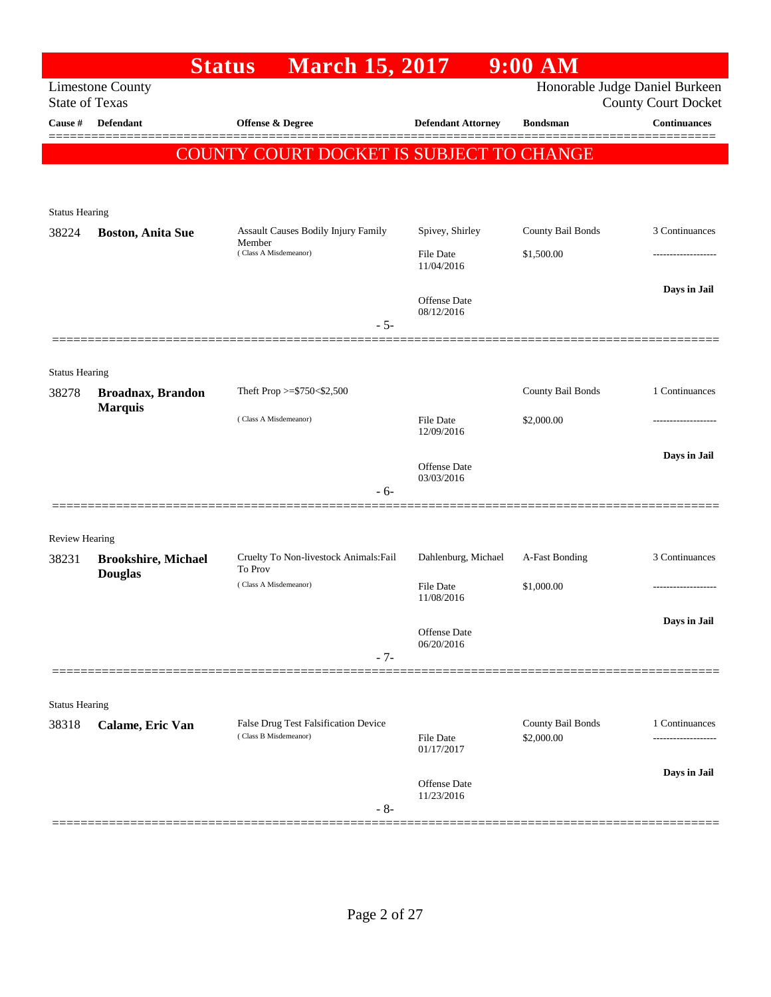|                                |                            | <b>Status</b><br><b>March 15, 2017</b>                        |                                | $9:00$ AM                       |                                                              |
|--------------------------------|----------------------------|---------------------------------------------------------------|--------------------------------|---------------------------------|--------------------------------------------------------------|
| <b>State of Texas</b>          | <b>Limestone County</b>    |                                                               |                                |                                 | Honorable Judge Daniel Burkeen<br><b>County Court Docket</b> |
| Cause #                        | <b>Defendant</b>           | Offense & Degree                                              | <b>Defendant Attorney</b>      | <b>Bondsman</b>                 | <b>Continuances</b>                                          |
|                                |                            | COUNTY COURT DOCKET IS SUBJECT TO CHANGE                      |                                |                                 |                                                              |
|                                |                            |                                                               |                                |                                 |                                                              |
|                                |                            |                                                               |                                |                                 |                                                              |
| <b>Status Hearing</b><br>38224 | <b>Boston, Anita Sue</b>   | Assault Causes Bodily Injury Family                           | Spivey, Shirley                | County Bail Bonds               | 3 Continuances                                               |
|                                |                            | Member<br>(Class A Misdemeanor)                               | <b>File Date</b>               | \$1,500.00                      | ----------------                                             |
|                                |                            |                                                               | 11/04/2016                     |                                 |                                                              |
|                                |                            |                                                               | <b>Offense</b> Date            |                                 | Days in Jail                                                 |
|                                |                            | $-5-$                                                         | 08/12/2016                     |                                 |                                                              |
|                                |                            |                                                               |                                |                                 |                                                              |
| <b>Status Hearing</b>          |                            |                                                               |                                |                                 |                                                              |
| 38278                          | <b>Broadnax, Brandon</b>   | Theft Prop >=\$750<\$2,500                                    |                                | County Bail Bonds               | 1 Continuances                                               |
|                                | <b>Marquis</b>             | (Class A Misdemeanor)                                         | <b>File Date</b>               | \$2,000.00                      |                                                              |
|                                |                            |                                                               | 12/09/2016                     |                                 |                                                              |
|                                |                            |                                                               | Offense Date                   |                                 | Days in Jail                                                 |
|                                |                            | $-6-$                                                         | 03/03/2016                     |                                 |                                                              |
|                                |                            |                                                               |                                |                                 |                                                              |
| <b>Review Hearing</b>          |                            |                                                               |                                |                                 |                                                              |
| 38231                          | <b>Brookshire, Michael</b> | Cruelty To Non-livestock Animals: Fail<br>To Prov             | Dahlenburg, Michael            | A-Fast Bonding                  | 3 Continuances                                               |
|                                | <b>Douglas</b>             | (Class A Misdemeanor)                                         | <b>File Date</b>               | \$1,000.00                      |                                                              |
|                                |                            |                                                               | 11/08/2016                     |                                 |                                                              |
|                                |                            |                                                               | Offense Date                   |                                 | Days in Jail                                                 |
|                                |                            | $-7-$                                                         | 06/20/2016                     |                                 |                                                              |
|                                |                            |                                                               |                                |                                 |                                                              |
| <b>Status Hearing</b>          |                            |                                                               |                                |                                 |                                                              |
| 38318                          | Calame, Eric Van           | False Drug Test Falsification Device<br>(Class B Misdemeanor) |                                | County Bail Bonds<br>\$2,000.00 | 1 Continuances                                               |
|                                |                            |                                                               | <b>File Date</b><br>01/17/2017 |                                 |                                                              |
|                                |                            |                                                               | Offense Date                   |                                 | Days in Jail                                                 |
|                                |                            |                                                               | 11/23/2016                     |                                 |                                                              |
|                                |                            | $-8-$                                                         |                                |                                 |                                                              |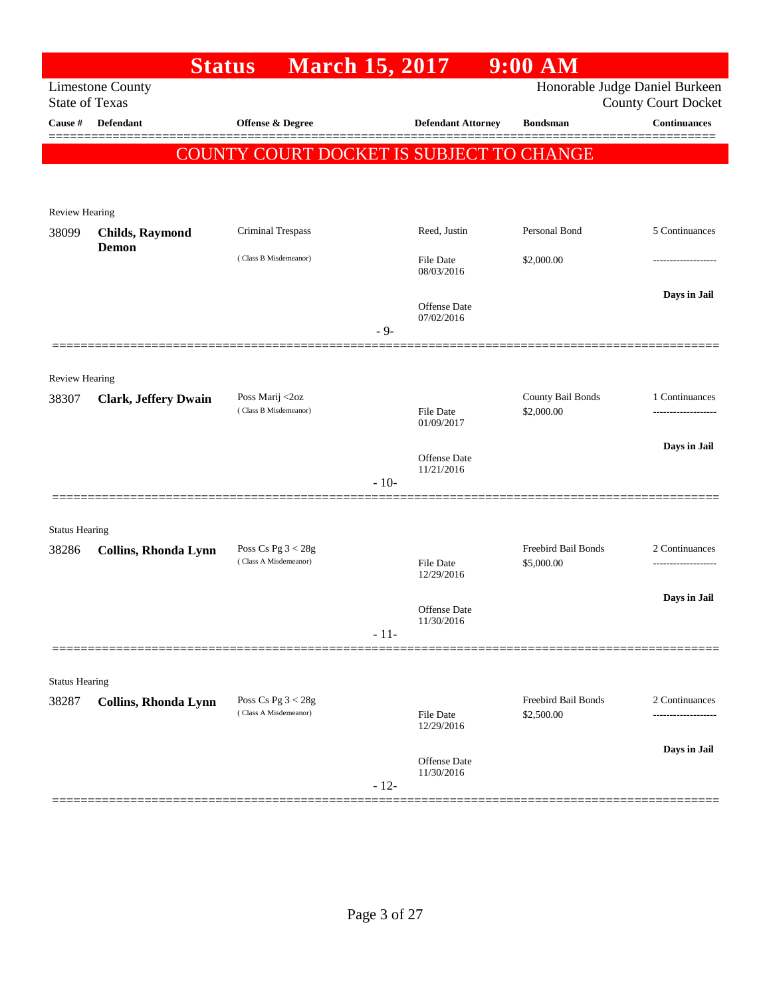|                                |                                 | <b>March 15, 2017</b><br><b>Status</b>        |        |                                   | $9:00$ AM                         |                                                              |
|--------------------------------|---------------------------------|-----------------------------------------------|--------|-----------------------------------|-----------------------------------|--------------------------------------------------------------|
| <b>State of Texas</b>          | <b>Limestone County</b>         |                                               |        |                                   |                                   | Honorable Judge Daniel Burkeen<br><b>County Court Docket</b> |
| Cause #                        | <b>Defendant</b>                | Offense & Degree                              |        | <b>Defendant Attorney</b>         | <b>Bondsman</b>                   | <b>Continuances</b>                                          |
|                                |                                 |                                               |        |                                   |                                   |                                                              |
|                                |                                 | COUNTY COURT DOCKET IS SUBJECT TO CHANGE      |        |                                   |                                   |                                                              |
|                                |                                 |                                               |        |                                   |                                   |                                                              |
| Review Hearing                 |                                 |                                               |        |                                   |                                   |                                                              |
| 38099                          | <b>Childs, Raymond</b><br>Demon | <b>Criminal Trespass</b>                      |        | Reed, Justin                      | Personal Bond                     | 5 Continuances                                               |
|                                |                                 | (Class B Misdemeanor)                         |        | File Date<br>08/03/2016           | \$2,000.00                        |                                                              |
|                                |                                 |                                               |        |                                   |                                   | Days in Jail                                                 |
|                                |                                 |                                               |        | Offense Date<br>07/02/2016        |                                   |                                                              |
|                                | ===============                 |                                               | $-9-$  |                                   |                                   |                                                              |
|                                |                                 |                                               |        |                                   |                                   |                                                              |
| <b>Review Hearing</b><br>38307 | <b>Clark, Jeffery Dwain</b>     | Poss Marij <2oz                               |        |                                   | County Bail Bonds                 | 1 Continuances                                               |
|                                |                                 | (Class B Misdemeanor)                         |        | <b>File Date</b><br>01/09/2017    | \$2,000.00                        |                                                              |
|                                |                                 |                                               |        |                                   |                                   | Days in Jail                                                 |
|                                |                                 |                                               |        | <b>Offense Date</b><br>11/21/2016 |                                   |                                                              |
|                                |                                 |                                               | $-10-$ |                                   |                                   |                                                              |
|                                |                                 |                                               |        |                                   |                                   |                                                              |
| <b>Status Hearing</b>          |                                 |                                               |        |                                   | Freebird Bail Bonds               | 2 Continuances                                               |
| 38286                          | Collins, Rhonda Lynn            | Poss Cs Pg $3 < 28g$<br>(Class A Misdemeanor) |        | <b>File Date</b>                  | \$5,000.00                        | .                                                            |
|                                |                                 |                                               |        | 12/29/2016                        |                                   |                                                              |
|                                |                                 |                                               |        | <b>Offense Date</b>               |                                   | Days in Jail                                                 |
|                                |                                 |                                               | $-11-$ | 11/30/2016                        |                                   |                                                              |
|                                |                                 |                                               |        |                                   |                                   |                                                              |
| <b>Status Hearing</b>          |                                 |                                               |        |                                   |                                   |                                                              |
| 38287                          | <b>Collins, Rhonda Lynn</b>     | Poss Cs Pg $3 < 28g$<br>(Class A Misdemeanor) |        | File Date                         | Freebird Bail Bonds<br>\$2,500.00 | 2 Continuances                                               |
|                                |                                 |                                               |        | 12/29/2016                        |                                   |                                                              |
|                                |                                 |                                               |        | Offense Date                      |                                   | Days in Jail                                                 |
|                                |                                 |                                               | $-12-$ | 11/30/2016                        |                                   |                                                              |
|                                |                                 |                                               |        |                                   |                                   |                                                              |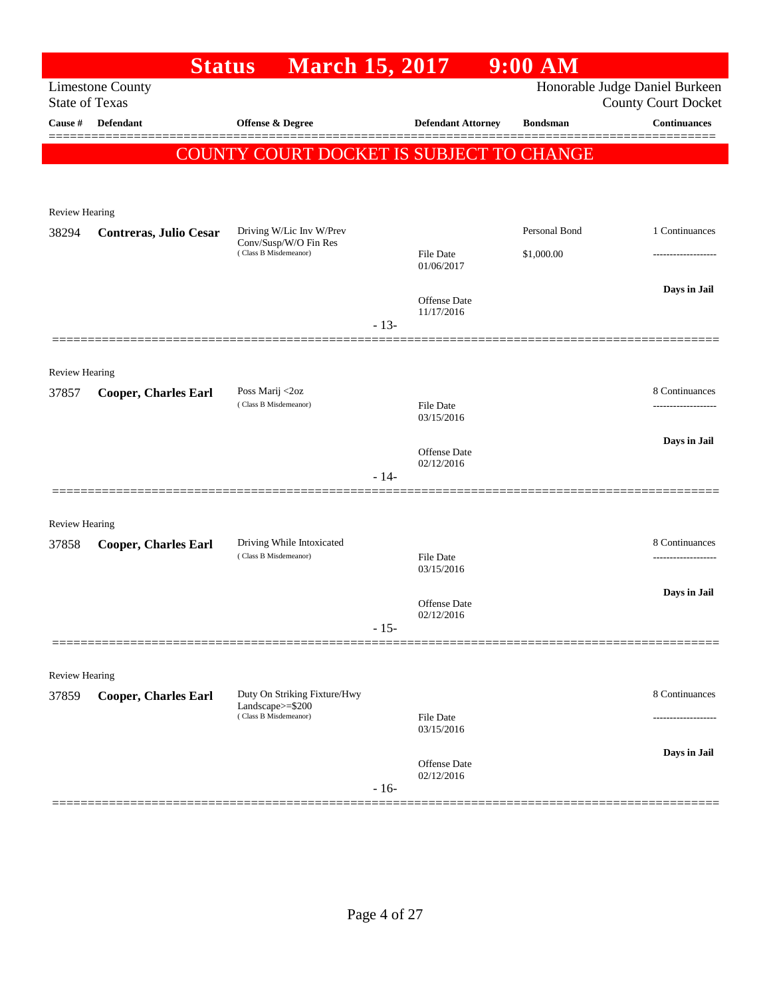|                         | <b>Status</b>               | <b>March 15, 2017</b>                             |        |                                   | $9:00$ AM       |                                                   |
|-------------------------|-----------------------------|---------------------------------------------------|--------|-----------------------------------|-----------------|---------------------------------------------------|
| <b>State of Texas</b>   | <b>Limestone County</b>     |                                                   |        |                                   |                 | Honorable Judge Daniel Burkeen                    |
| Cause #                 | <b>Defendant</b>            | <b>Offense &amp; Degree</b>                       |        | <b>Defendant Attorney</b>         | <b>Bondsman</b> | <b>County Court Docket</b><br><b>Continuances</b> |
|                         |                             |                                                   |        |                                   |                 |                                                   |
|                         |                             | COUNTY COURT DOCKET IS SUBJECT TO CHANGE          |        |                                   |                 |                                                   |
|                         |                             |                                                   |        |                                   |                 |                                                   |
| Review Hearing          |                             |                                                   |        |                                   |                 |                                                   |
| 38294                   | Contreras, Julio Cesar      | Driving W/Lic Inv W/Prev<br>Conv/Susp/W/O Fin Res |        |                                   | Personal Bond   | 1 Continuances                                    |
|                         |                             | (Class B Misdemeanor)                             |        | <b>File Date</b><br>01/06/2017    | \$1,000.00      | ------------------                                |
|                         |                             |                                                   |        |                                   |                 | Days in Jail                                      |
|                         |                             |                                                   |        | <b>Offense Date</b><br>11/17/2016 |                 |                                                   |
|                         |                             |                                                   | $-13-$ |                                   |                 |                                                   |
|                         |                             |                                                   |        |                                   |                 |                                                   |
| Review Hearing          |                             |                                                   |        |                                   |                 |                                                   |
| 37857                   | <b>Cooper, Charles Earl</b> | Poss Marij <2oz<br>(Class B Misdemeanor)          |        | <b>File Date</b>                  |                 | 8 Continuances                                    |
|                         |                             |                                                   |        | 03/15/2016                        |                 |                                                   |
|                         |                             |                                                   |        | Offense Date                      |                 | Days in Jail                                      |
|                         |                             |                                                   | $-14-$ | 02/12/2016                        |                 |                                                   |
|                         |                             |                                                   |        |                                   |                 |                                                   |
| <b>Review Hearing</b>   |                             |                                                   |        |                                   |                 |                                                   |
| 37858                   | <b>Cooper, Charles Earl</b> | Driving While Intoxicated                         |        |                                   |                 | 8 Continuances                                    |
|                         |                             | (Class B Misdemeanor)                             |        | <b>File Date</b><br>03/15/2016    |                 | ----------------                                  |
|                         |                             |                                                   |        |                                   |                 | Days in Jail                                      |
|                         |                             |                                                   |        | <b>Offense Date</b><br>02/12/2016 |                 |                                                   |
|                         |                             |                                                   | $-15-$ |                                   |                 |                                                   |
|                         |                             |                                                   |        |                                   |                 |                                                   |
| Review Hearing<br>37859 | <b>Cooper, Charles Earl</b> | Duty On Striking Fixture/Hwy                      |        |                                   |                 | 8 Continuances                                    |
|                         |                             | Landscape $>=$ \$200<br>(Class B Misdemeanor)     |        | <b>File Date</b>                  |                 |                                                   |
|                         |                             |                                                   |        | 03/15/2016                        |                 |                                                   |
|                         |                             |                                                   |        | Offense Date                      |                 | Days in Jail                                      |
|                         |                             |                                                   | $-16-$ | 02/12/2016                        |                 |                                                   |
|                         |                             |                                                   |        |                                   |                 |                                                   |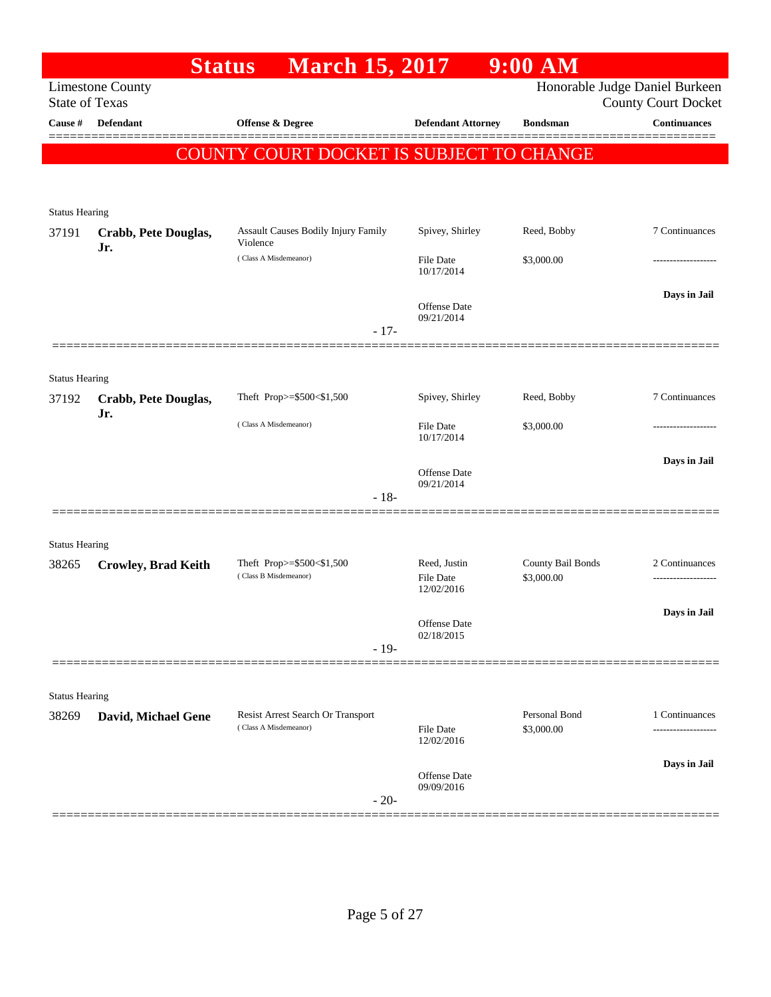|                                |                             | <b>March 15, 2017</b><br><b>Status</b>                     |                                   | $9:00$ AM                   |                                                              |
|--------------------------------|-----------------------------|------------------------------------------------------------|-----------------------------------|-----------------------------|--------------------------------------------------------------|
| <b>State of Texas</b>          | <b>Limestone County</b>     |                                                            |                                   |                             | Honorable Judge Daniel Burkeen<br><b>County Court Docket</b> |
| Cause #                        | <b>Defendant</b>            | Offense & Degree                                           | <b>Defendant Attorney</b>         | <b>Bondsman</b>             | <b>Continuances</b>                                          |
|                                |                             | COUNTY COURT DOCKET IS SUBJECT TO CHANGE                   |                                   |                             |                                                              |
|                                |                             |                                                            |                                   |                             |                                                              |
| <b>Status Hearing</b>          |                             |                                                            |                                   |                             |                                                              |
| 37191                          | Crabb, Pete Douglas,<br>Jr. | Assault Causes Bodily Injury Family<br>Violence            | Spivey, Shirley                   | Reed, Bobby                 | 7 Continuances                                               |
|                                |                             | (Class A Misdemeanor)                                      | File Date<br>10/17/2014           | \$3,000.00                  |                                                              |
|                                |                             |                                                            | Offense Date                      |                             | Days in Jail                                                 |
|                                |                             | $-17-$                                                     | 09/21/2014                        |                             |                                                              |
|                                |                             |                                                            |                                   |                             |                                                              |
| <b>Status Hearing</b>          |                             |                                                            |                                   |                             |                                                              |
| 37192                          | Crabb, Pete Douglas,        | Theft Prop>=\$500<\$1,500                                  | Spivey, Shirley                   | Reed, Bobby                 | 7 Continuances                                               |
|                                | Jr.                         | (Class A Misdemeanor)                                      | File Date<br>10/17/2014           | \$3,000.00                  |                                                              |
|                                |                             |                                                            | Offense Date                      |                             | Days in Jail                                                 |
|                                |                             | $-18-$                                                     | 09/21/2014                        |                             |                                                              |
|                                |                             |                                                            |                                   |                             |                                                              |
| <b>Status Hearing</b><br>38265 | <b>Crowley, Brad Keith</b>  | Theft Prop>=\$500<\$1,500                                  | Reed, Justin                      | County Bail Bonds           | 2 Continuances                                               |
|                                |                             | (Class B Misdemeanor)                                      | File Date<br>12/02/2016           | \$3,000.00                  |                                                              |
|                                |                             |                                                            | Offense Date                      |                             | Days in Jail                                                 |
|                                |                             | $-19-$                                                     | 02/18/2015                        |                             |                                                              |
|                                |                             |                                                            |                                   |                             |                                                              |
| <b>Status Hearing</b>          |                             |                                                            |                                   |                             |                                                              |
| 38269                          | David, Michael Gene         | Resist Arrest Search Or Transport<br>(Class A Misdemeanor) | File Date                         | Personal Bond<br>\$3,000.00 | 1 Continuances                                               |
|                                |                             |                                                            | 12/02/2016                        |                             |                                                              |
|                                |                             |                                                            | <b>Offense</b> Date<br>09/09/2016 |                             | Days in Jail                                                 |
|                                |                             | $-20-$                                                     |                                   |                             |                                                              |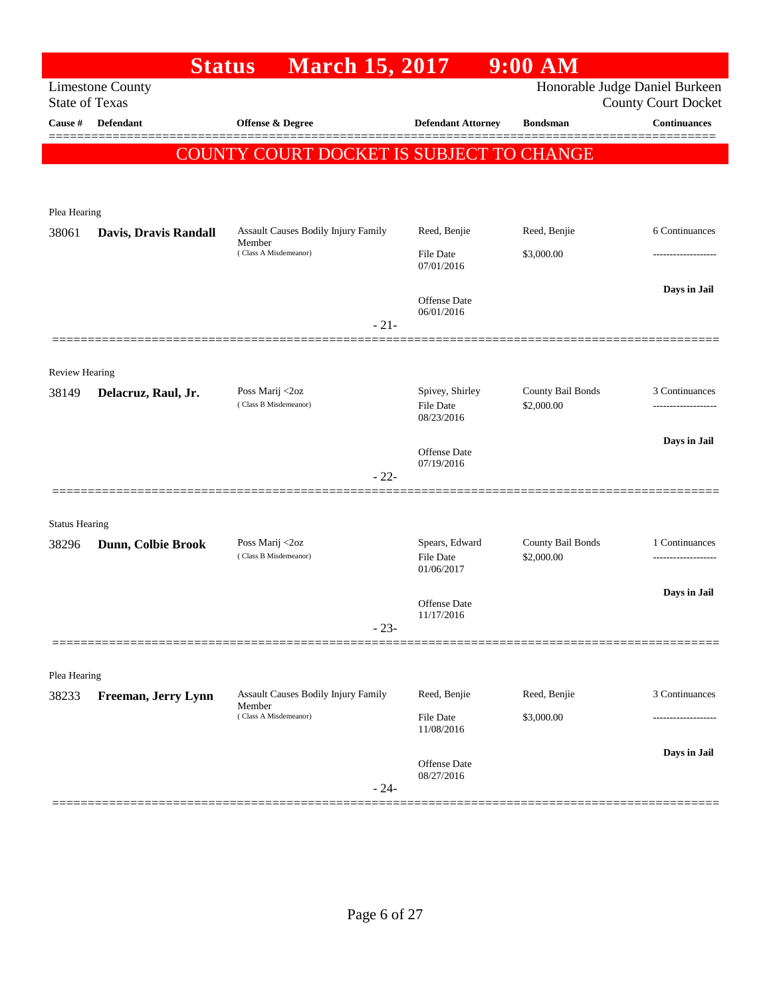|                       | <b>Status</b>           | <b>March 15, 2017</b>                                |                                            | $9:00$ AM                       |                                                              |
|-----------------------|-------------------------|------------------------------------------------------|--------------------------------------------|---------------------------------|--------------------------------------------------------------|
| <b>State of Texas</b> | <b>Limestone County</b> |                                                      |                                            |                                 | Honorable Judge Daniel Burkeen<br><b>County Court Docket</b> |
| Cause #               | Defendant               | Offense & Degree                                     | <b>Defendant Attorney</b>                  | <b>Bondsman</b>                 | <b>Continuances</b>                                          |
|                       |                         | <b>COUNTY COURT DOCKET IS SUBJECT TO CHANGE</b>      |                                            |                                 |                                                              |
|                       |                         |                                                      |                                            |                                 |                                                              |
| Plea Hearing          |                         |                                                      |                                            |                                 |                                                              |
| 38061                 | Davis, Dravis Randall   | Assault Causes Bodily Injury Family<br>Member        | Reed, Benjie                               | Reed, Benjie                    | 6 Continuances                                               |
|                       |                         | (Class A Misdemeanor)                                | <b>File Date</b><br>07/01/2016             | \$3,000.00                      |                                                              |
|                       |                         |                                                      | Offense Date<br>06/01/2016                 |                                 | Days in Jail                                                 |
|                       |                         | $-21-$                                               |                                            |                                 |                                                              |
| <b>Review Hearing</b> |                         |                                                      |                                            |                                 |                                                              |
| 38149                 | Delacruz, Raul, Jr.     | Poss Marij <2oz<br>(Class B Misdemeanor)             | Spivey, Shirley<br>File Date<br>08/23/2016 | County Bail Bonds<br>\$2,000.00 | 3 Continuances                                               |
|                       |                         |                                                      | Offense Date<br>07/19/2016                 |                                 | Days in Jail                                                 |
|                       |                         | $-22-$                                               |                                            |                                 |                                                              |
| <b>Status Hearing</b> |                         |                                                      |                                            |                                 |                                                              |
| 38296                 | Dunn, Colbie Brook      | Poss Marij <2oz<br>(Class B Misdemeanor)             | Spears, Edward<br>File Date<br>01/06/2017  | County Bail Bonds<br>\$2,000.00 | 1 Continuances<br>-------------------                        |
|                       |                         |                                                      | Offense Date<br>11/17/2016                 |                                 | Days in Jail                                                 |
|                       |                         | $-23-$                                               |                                            |                                 |                                                              |
| Plea Hearing          |                         |                                                      |                                            |                                 |                                                              |
| 38233                 | Freeman, Jerry Lynn     | <b>Assault Causes Bodily Injury Family</b><br>Member | Reed, Benjie                               | Reed, Benjie                    | 3 Continuances                                               |
|                       |                         | (Class A Misdemeanor)                                | <b>File Date</b><br>11/08/2016             | \$3,000.00                      |                                                              |
|                       |                         | $-24-$                                               | Offense Date<br>08/27/2016                 |                                 | Days in Jail                                                 |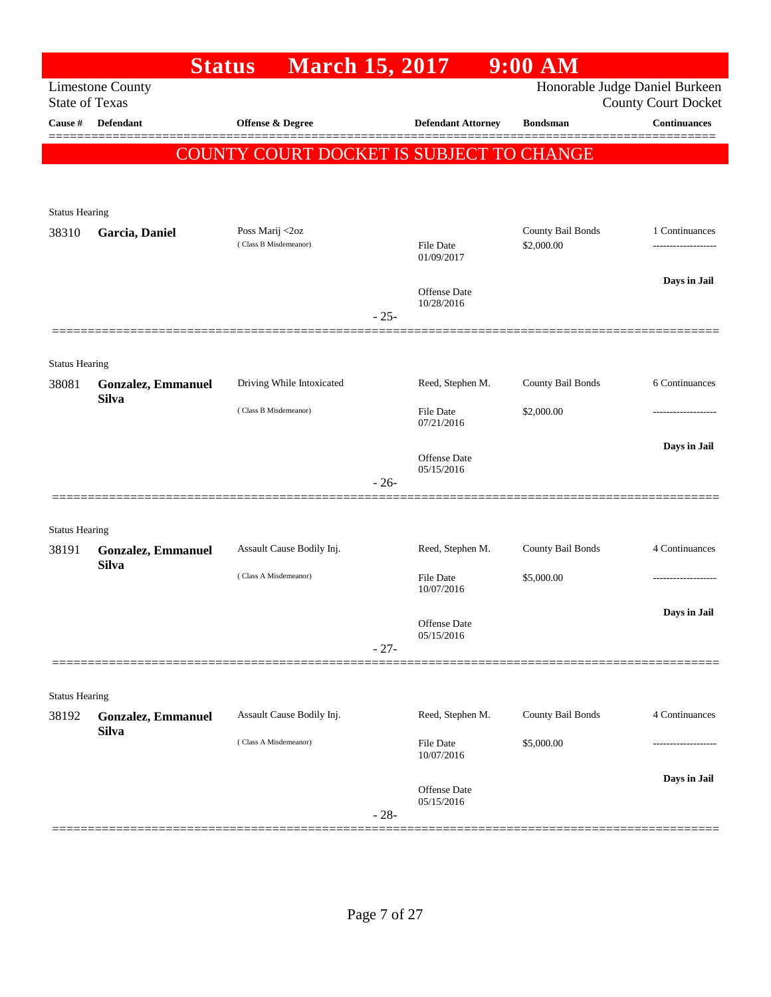|                       |                                           | <b>March 15, 2017</b><br><b>Status</b>   |        |                                | $9:00$ AM                       |                                                              |
|-----------------------|-------------------------------------------|------------------------------------------|--------|--------------------------------|---------------------------------|--------------------------------------------------------------|
| <b>State of Texas</b> | <b>Limestone County</b>                   |                                          |        |                                |                                 | Honorable Judge Daniel Burkeen<br><b>County Court Docket</b> |
| Cause #               | <b>Defendant</b>                          | <b>Offense &amp; Degree</b>              |        | <b>Defendant Attorney</b>      | <b>Bondsman</b>                 | <b>Continuances</b>                                          |
|                       |                                           | COUNTY COURT DOCKET IS SUBJECT TO CHANGE |        |                                |                                 |                                                              |
|                       |                                           |                                          |        |                                |                                 |                                                              |
|                       |                                           |                                          |        |                                |                                 |                                                              |
| <b>Status Hearing</b> |                                           |                                          |        |                                |                                 |                                                              |
| 38310                 | Garcia, Daniel                            | Poss Marij <2oz<br>(Class B Misdemeanor) |        | <b>File Date</b><br>01/09/2017 | County Bail Bonds<br>\$2,000.00 | 1 Continuances                                               |
|                       |                                           |                                          |        |                                |                                 | Days in Jail                                                 |
|                       |                                           |                                          | $-25-$ | Offense Date<br>10/28/2016     |                                 |                                                              |
|                       |                                           |                                          |        |                                |                                 |                                                              |
| <b>Status Hearing</b> |                                           |                                          |        |                                |                                 |                                                              |
| 38081                 | <b>Gonzalez, Emmanuel</b>                 | Driving While Intoxicated                |        | Reed, Stephen M.               | County Bail Bonds               | 6 Continuances                                               |
|                       | <b>Silva</b>                              | (Class B Misdemeanor)                    |        | <b>File Date</b><br>07/21/2016 | \$2,000.00                      |                                                              |
|                       |                                           |                                          |        |                                |                                 | Days in Jail                                                 |
|                       |                                           |                                          |        | Offense Date<br>05/15/2016     |                                 |                                                              |
|                       |                                           |                                          | $-26-$ |                                |                                 |                                                              |
| <b>Status Hearing</b> |                                           |                                          |        |                                |                                 |                                                              |
| 38191                 | <b>Gonzalez, Emmanuel</b>                 | Assault Cause Bodily Inj.                |        | Reed, Stephen M.               | County Bail Bonds               | 4 Continuances                                               |
|                       | <b>Silva</b>                              | (Class A Misdemeanor)                    |        | <b>File Date</b><br>10/07/2016 | \$5,000.00                      |                                                              |
|                       |                                           |                                          |        |                                |                                 | Days in Jail                                                 |
|                       |                                           |                                          |        | Offense Date<br>05/15/2016     |                                 |                                                              |
|                       |                                           |                                          | $-27-$ |                                |                                 |                                                              |
|                       |                                           |                                          |        |                                |                                 |                                                              |
| <b>Status Hearing</b> |                                           | Assault Cause Bodily Inj.                |        | Reed, Stephen M.               | County Bail Bonds               | 4 Continuances                                               |
| 38192                 | <b>Gonzalez, Emmanuel</b><br><b>Silva</b> |                                          |        |                                |                                 |                                                              |
|                       |                                           | (Class A Misdemeanor)                    |        | File Date<br>10/07/2016        | \$5,000.00                      |                                                              |
|                       |                                           |                                          |        |                                |                                 | Days in Jail                                                 |
|                       |                                           |                                          | $-28-$ | Offense Date<br>05/15/2016     |                                 |                                                              |
|                       |                                           |                                          |        |                                |                                 |                                                              |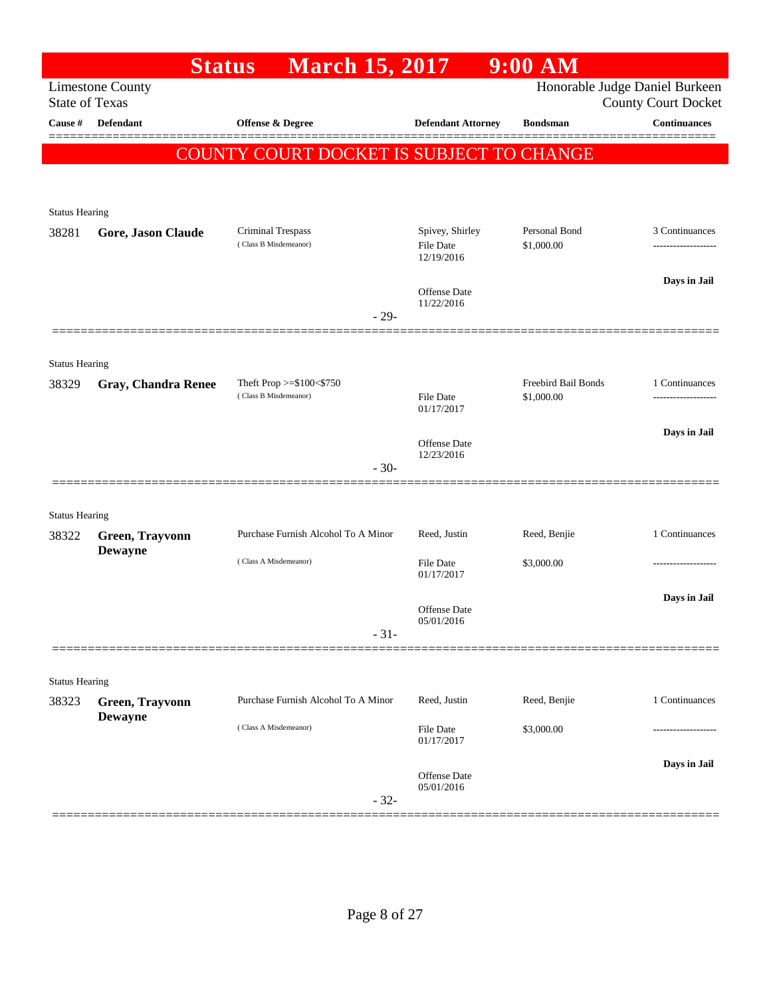|                                | <b>Status</b>              | <b>March 15, 2017</b>                           |                                   | 9:00 AM             |                                                              |
|--------------------------------|----------------------------|-------------------------------------------------|-----------------------------------|---------------------|--------------------------------------------------------------|
| <b>State of Texas</b>          | <b>Limestone County</b>    |                                                 |                                   |                     | Honorable Judge Daniel Burkeen<br><b>County Court Docket</b> |
| <b>Cause</b> #                 | Defendant                  | Offense & Degree                                | <b>Defendant Attorney</b>         | <b>Bondsman</b>     | <b>Continuances</b>                                          |
|                                |                            |                                                 |                                   |                     |                                                              |
|                                |                            | <b>COUNTY COURT DOCKET IS SUBJECT TO CHANGE</b> |                                   |                     |                                                              |
|                                |                            |                                                 |                                   |                     |                                                              |
| <b>Status Hearing</b>          |                            |                                                 |                                   |                     |                                                              |
| 38281                          | Gore, Jason Claude         | Criminal Trespass                               | Spivey, Shirley                   | Personal Bond       | 3 Continuances                                               |
|                                |                            | (Class B Misdemeanor)                           | <b>File Date</b><br>12/19/2016    | \$1,000.00          |                                                              |
|                                |                            |                                                 |                                   |                     | Days in Jail                                                 |
|                                |                            |                                                 | <b>Offense Date</b><br>11/22/2016 |                     |                                                              |
|                                |                            | $-29-$                                          |                                   |                     |                                                              |
|                                |                            |                                                 |                                   |                     |                                                              |
| <b>Status Hearing</b><br>38329 |                            | Theft Prop >=\$100<\$750                        |                                   | Freebird Bail Bonds | 1 Continuances                                               |
|                                | <b>Gray, Chandra Renee</b> | (Class B Misdemeanor)                           | <b>File Date</b><br>01/17/2017    | \$1,000.00          |                                                              |
|                                |                            |                                                 |                                   |                     | Days in Jail                                                 |
|                                |                            |                                                 | <b>Offense Date</b><br>12/23/2016 |                     |                                                              |
|                                |                            | $-30-$                                          |                                   |                     |                                                              |
|                                |                            |                                                 |                                   |                     |                                                              |
| <b>Status Hearing</b>          |                            |                                                 |                                   |                     |                                                              |
| 38322                          | Green, Trayvonn            | Purchase Furnish Alcohol To A Minor             | Reed, Justin                      | Reed, Benjie        | 1 Continuances                                               |
|                                | <b>Dewayne</b>             | (Class A Misdemeanor)                           | File Date                         | \$3,000.00          |                                                              |
|                                |                            |                                                 | 01/17/2017                        |                     |                                                              |
|                                |                            |                                                 | <b>Offense Date</b>               |                     | Days in Jail                                                 |
|                                |                            | $-31-$                                          | 05/01/2016                        |                     |                                                              |
|                                |                            |                                                 |                                   |                     |                                                              |
| <b>Status Hearing</b>          |                            |                                                 |                                   |                     |                                                              |
| 38323                          | Green, Trayvonn            | Purchase Furnish Alcohol To A Minor             | Reed, Justin                      | Reed, Benjie        | 1 Continuances                                               |
|                                | <b>Dewayne</b>             | (Class A Misdemeanor)                           | <b>File Date</b><br>01/17/2017    | \$3,000.00          |                                                              |
|                                |                            |                                                 |                                   |                     |                                                              |
|                                |                            |                                                 | <b>Offense Date</b><br>05/01/2016 |                     | Days in Jail                                                 |
|                                |                            | $-32-$                                          |                                   |                     |                                                              |
|                                |                            |                                                 |                                   |                     |                                                              |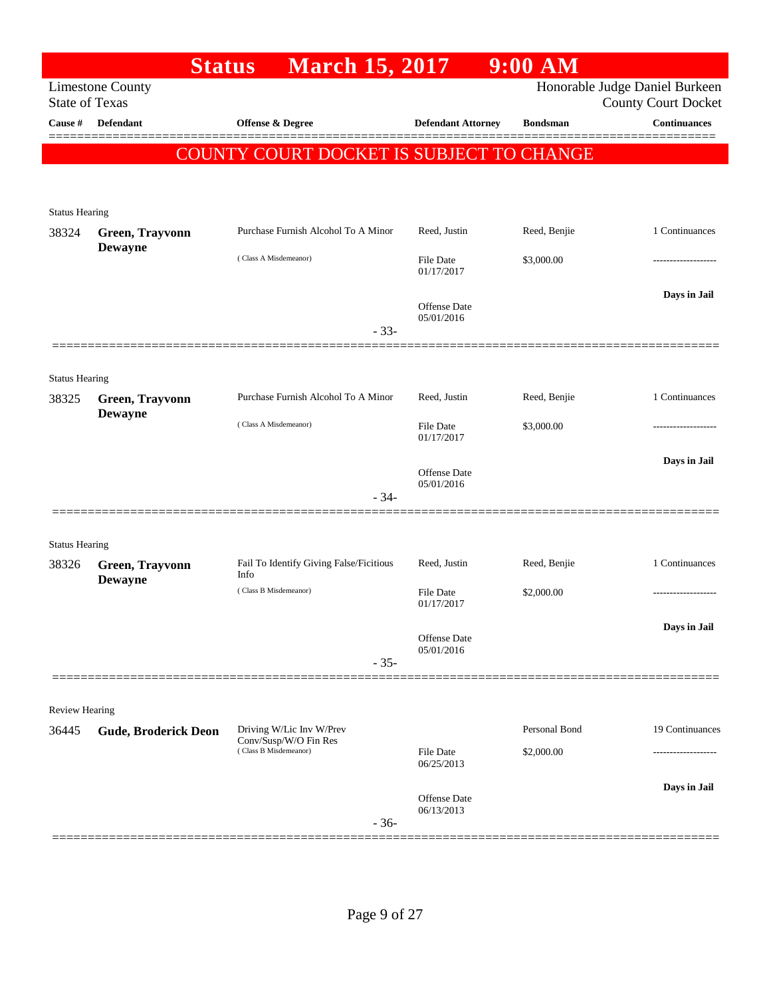|                                  | <b>Status</b>               | <b>March 15, 2017</b>                             |                                | $9:00$ AM       |                                                   |
|----------------------------------|-----------------------------|---------------------------------------------------|--------------------------------|-----------------|---------------------------------------------------|
|                                  | <b>Limestone County</b>     |                                                   |                                |                 | Honorable Judge Daniel Burkeen                    |
| <b>State of Texas</b><br>Cause # | Defendant                   | Offense & Degree                                  | <b>Defendant Attorney</b>      | <b>Bondsman</b> | <b>County Court Docket</b><br><b>Continuances</b> |
|                                  |                             |                                                   |                                |                 |                                                   |
|                                  |                             | <b>COUNTY COURT DOCKET IS SUBJECT TO CHANGE</b>   |                                |                 |                                                   |
|                                  |                             |                                                   |                                |                 |                                                   |
| <b>Status Hearing</b>            |                             |                                                   |                                |                 |                                                   |
| 38324                            | Green, Trayvonn             | Purchase Furnish Alcohol To A Minor               | Reed, Justin                   | Reed, Benjie    | 1 Continuances                                    |
|                                  | <b>Dewayne</b>              |                                                   |                                |                 |                                                   |
|                                  |                             | (Class A Misdemeanor)                             | File Date<br>01/17/2017        | \$3,000.00      |                                                   |
|                                  |                             |                                                   |                                |                 | Days in Jail                                      |
|                                  |                             |                                                   | Offense Date<br>05/01/2016     |                 |                                                   |
|                                  |                             | $-33-$                                            |                                |                 |                                                   |
|                                  |                             |                                                   |                                |                 |                                                   |
| <b>Status Hearing</b>            |                             |                                                   |                                |                 |                                                   |
| 38325                            | Green, Trayvonn             | Purchase Furnish Alcohol To A Minor               | Reed, Justin                   | Reed, Benjie    | 1 Continuances                                    |
|                                  | <b>Dewayne</b>              | (Class A Misdemeanor)                             | File Date                      | \$3,000.00      |                                                   |
|                                  |                             |                                                   | 01/17/2017                     |                 |                                                   |
|                                  |                             |                                                   | Offense Date                   |                 | Days in Jail                                      |
|                                  |                             | $-34-$                                            | 05/01/2016                     |                 |                                                   |
|                                  |                             |                                                   |                                |                 |                                                   |
|                                  |                             |                                                   |                                |                 |                                                   |
| <b>Status Hearing</b><br>38326   | Green, Trayvonn             | Fail To Identify Giving False/Ficitious           | Reed, Justin                   | Reed, Benjie    | 1 Continuances                                    |
|                                  | <b>Dewayne</b>              | Info                                              |                                |                 |                                                   |
|                                  |                             | (Class B Misdemeanor)                             | File Date<br>01/17/2017        | \$2,000.00      | -----------------                                 |
|                                  |                             |                                                   |                                |                 | Days in Jail                                      |
|                                  |                             |                                                   | Offense Date<br>05/01/2016     |                 |                                                   |
|                                  |                             | $-35-$                                            |                                |                 |                                                   |
|                                  |                             |                                                   |                                |                 |                                                   |
| <b>Review Hearing</b>            |                             |                                                   |                                |                 |                                                   |
| 36445                            | <b>Gude, Broderick Deon</b> | Driving W/Lic Inv W/Prev<br>Conv/Susp/W/O Fin Res |                                | Personal Bond   | 19 Continuances                                   |
|                                  |                             | (Class B Misdemeanor)                             | <b>File Date</b><br>06/25/2013 | \$2,000.00      |                                                   |
|                                  |                             |                                                   |                                |                 |                                                   |
|                                  |                             |                                                   | Offense Date                   |                 | Days in Jail                                      |
|                                  |                             | $-36-$                                            | 06/13/2013                     |                 |                                                   |
|                                  |                             |                                                   |                                |                 |                                                   |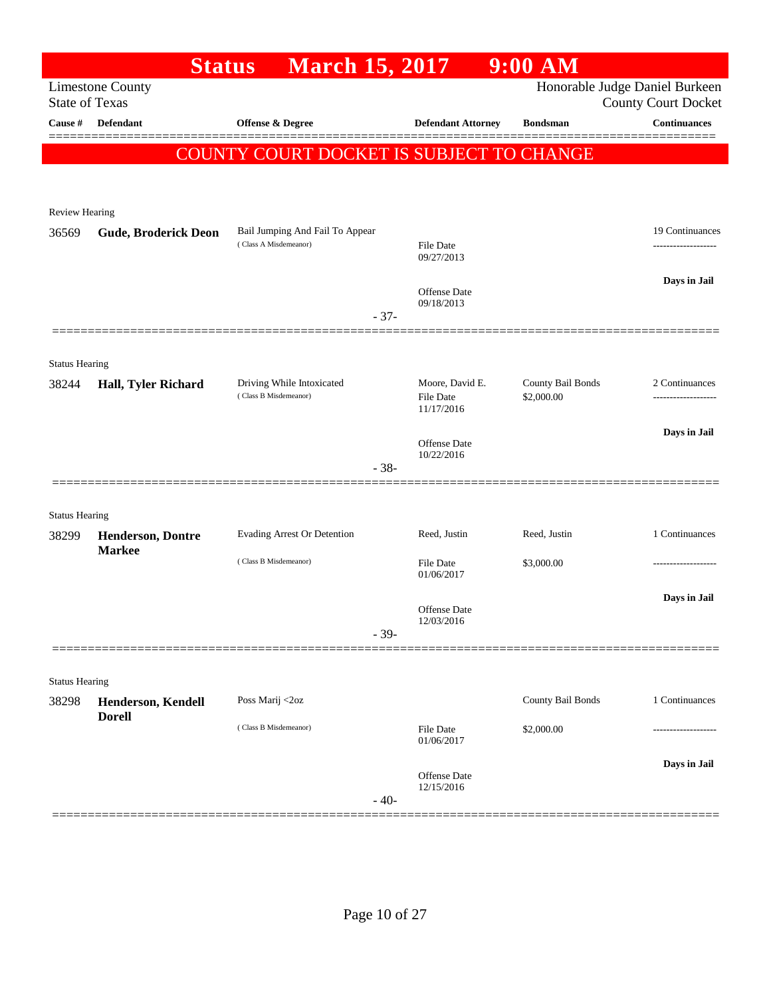|                                | <b>Status</b>                             | <b>March 15, 2017</b>                                    |                                   | $9:00$ AM         |                                                              |
|--------------------------------|-------------------------------------------|----------------------------------------------------------|-----------------------------------|-------------------|--------------------------------------------------------------|
| <b>State of Texas</b>          | <b>Limestone County</b>                   |                                                          |                                   |                   | Honorable Judge Daniel Burkeen<br><b>County Court Docket</b> |
| Cause #                        | <b>Defendant</b>                          | <b>Offense &amp; Degree</b>                              | <b>Defendant Attorney</b>         | <b>Bondsman</b>   | <b>Continuances</b>                                          |
|                                |                                           |                                                          |                                   |                   |                                                              |
|                                |                                           | COUNTY COURT DOCKET IS SUBJECT TO CHANGE                 |                                   |                   |                                                              |
|                                |                                           |                                                          |                                   |                   |                                                              |
| <b>Review Hearing</b>          |                                           |                                                          |                                   |                   |                                                              |
| 36569                          | <b>Gude, Broderick Deon</b>               | Bail Jumping And Fail To Appear<br>(Class A Misdemeanor) |                                   |                   | 19 Continuances                                              |
|                                |                                           |                                                          | File Date<br>09/27/2013           |                   |                                                              |
|                                |                                           |                                                          | Offense Date                      |                   | Days in Jail                                                 |
|                                |                                           | $-37-$                                                   | 09/18/2013                        |                   |                                                              |
|                                |                                           |                                                          |                                   |                   |                                                              |
| <b>Status Hearing</b>          |                                           |                                                          |                                   |                   |                                                              |
| 38244                          | Hall, Tyler Richard                       | Driving While Intoxicated                                | Moore, David E.                   | County Bail Bonds | 2 Continuances                                               |
|                                |                                           | (Class B Misdemeanor)                                    | <b>File Date</b><br>11/17/2016    | \$2,000.00        | -----------------                                            |
|                                |                                           |                                                          |                                   |                   | Days in Jail                                                 |
|                                |                                           |                                                          | Offense Date<br>10/22/2016        |                   |                                                              |
|                                |                                           | $-38-$                                                   |                                   |                   |                                                              |
|                                |                                           |                                                          |                                   |                   |                                                              |
| <b>Status Hearing</b>          |                                           |                                                          | Reed, Justin                      | Reed, Justin      | 1 Continuances                                               |
| 38299                          | <b>Henderson, Dontre</b><br><b>Markee</b> | Evading Arrest Or Detention                              |                                   |                   |                                                              |
|                                |                                           | (Class B Misdemeanor)                                    | <b>File Date</b><br>01/06/2017    | \$3,000.00        |                                                              |
|                                |                                           |                                                          |                                   |                   | Days in Jail                                                 |
|                                |                                           |                                                          | Offense Date<br>12/03/2016        |                   |                                                              |
|                                |                                           | $-39-$                                                   |                                   |                   |                                                              |
|                                |                                           |                                                          |                                   |                   |                                                              |
| <b>Status Hearing</b><br>38298 | Henderson, Kendell                        | Poss Marij <2oz                                          |                                   | County Bail Bonds | 1 Continuances                                               |
|                                | <b>Dorell</b>                             |                                                          |                                   |                   |                                                              |
|                                |                                           | (Class B Misdemeanor)                                    | <b>File Date</b><br>01/06/2017    | \$2,000.00        |                                                              |
|                                |                                           |                                                          |                                   |                   | Days in Jail                                                 |
|                                |                                           |                                                          | <b>Offense Date</b><br>12/15/2016 |                   |                                                              |
|                                |                                           | $-40-$                                                   |                                   |                   |                                                              |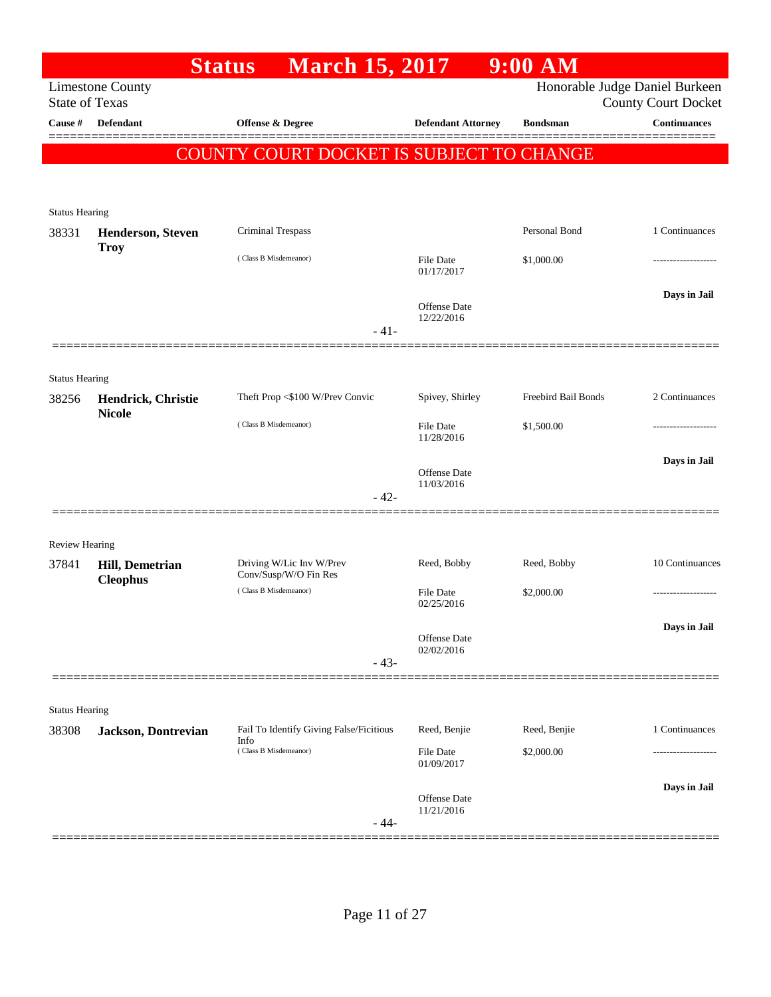|                                  |                                     | <b>Status</b><br><b>March 15, 2017</b>            |                                   | $9:00$ AM           |                                                   |
|----------------------------------|-------------------------------------|---------------------------------------------------|-----------------------------------|---------------------|---------------------------------------------------|
|                                  | <b>Limestone County</b>             |                                                   |                                   |                     | Honorable Judge Daniel Burkeen                    |
| <b>State of Texas</b><br>Cause # | Defendant                           | Offense & Degree                                  | <b>Defendant Attorney</b>         | <b>Bondsman</b>     | <b>County Court Docket</b><br><b>Continuances</b> |
|                                  |                                     |                                                   |                                   |                     |                                                   |
|                                  |                                     | COUNTY COURT DOCKET IS SUBJECT TO CHANGE          |                                   |                     |                                                   |
|                                  |                                     |                                                   |                                   |                     |                                                   |
| <b>Status Hearing</b>            |                                     |                                                   |                                   |                     |                                                   |
| 38331                            | <b>Henderson, Steven</b>            | <b>Criminal Trespass</b>                          |                                   | Personal Bond       | 1 Continuances                                    |
|                                  | <b>Troy</b>                         | (Class B Misdemeanor)                             | File Date                         | \$1,000.00          |                                                   |
|                                  |                                     |                                                   | 01/17/2017                        |                     |                                                   |
|                                  |                                     |                                                   |                                   |                     | Days in Jail                                      |
|                                  |                                     |                                                   | Offense Date<br>12/22/2016        |                     |                                                   |
|                                  |                                     | $-41-$                                            |                                   |                     |                                                   |
|                                  |                                     |                                                   |                                   |                     |                                                   |
| <b>Status Hearing</b>            |                                     |                                                   |                                   | Freebird Bail Bonds |                                                   |
| 38256                            | Hendrick, Christie<br><b>Nicole</b> | Theft Prop <\$100 W/Prev Convic                   | Spivey, Shirley                   |                     | 2 Continuances                                    |
|                                  |                                     | (Class B Misdemeanor)                             | <b>File Date</b><br>11/28/2016    | \$1,500.00          |                                                   |
|                                  |                                     |                                                   |                                   |                     | Days in Jail                                      |
|                                  |                                     |                                                   | <b>Offense</b> Date<br>11/03/2016 |                     |                                                   |
|                                  |                                     | $-42-$                                            |                                   |                     |                                                   |
|                                  |                                     |                                                   |                                   |                     |                                                   |
| <b>Review Hearing</b>            |                                     |                                                   |                                   |                     |                                                   |
| 37841                            | <b>Hill, Demetrian</b>              | Driving W/Lic Inv W/Prev<br>Conv/Susp/W/O Fin Res | Reed, Bobby                       | Reed, Bobby         | 10 Continuances                                   |
|                                  | <b>Cleophus</b>                     | (Class B Misdemeanor)                             | <b>File Date</b>                  | \$2,000.00          |                                                   |
|                                  |                                     |                                                   | 02/25/2016                        |                     |                                                   |
|                                  |                                     |                                                   | Offense Date                      |                     | Days in Jail                                      |
|                                  |                                     | $-43-$                                            | 02/02/2016                        |                     |                                                   |
|                                  |                                     |                                                   |                                   |                     |                                                   |
| <b>Status Hearing</b>            |                                     |                                                   |                                   |                     |                                                   |
| 38308                            | Jackson, Dontrevian                 | Fail To Identify Giving False/Ficitious           | Reed, Benjie                      | Reed, Benjie        | 1 Continuances                                    |
|                                  |                                     | Info<br>(Class B Misdemeanor)                     | File Date                         | \$2,000.00          |                                                   |
|                                  |                                     |                                                   | 01/09/2017                        |                     |                                                   |
|                                  |                                     |                                                   | Offense Date                      |                     | Days in Jail                                      |
|                                  |                                     | $-44-$                                            | 11/21/2016                        |                     |                                                   |
|                                  |                                     |                                                   |                                   |                     |                                                   |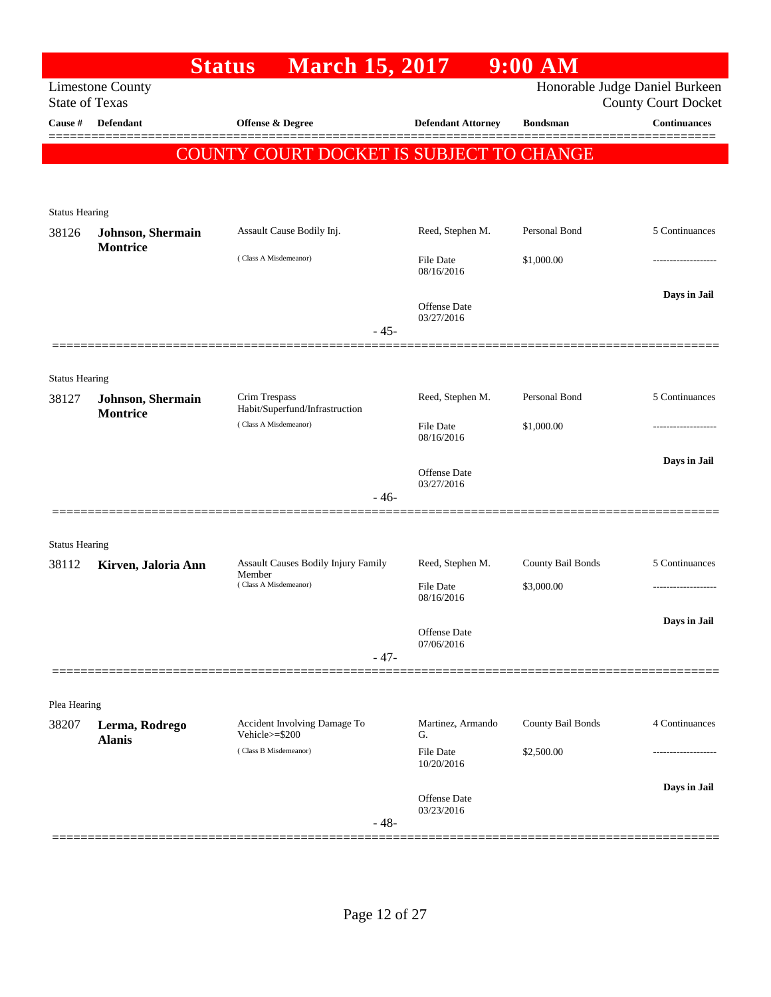| Honorable Judge Daniel Burkeen<br><b>Limestone County</b><br><b>State of Texas</b><br><b>County Court Docket</b><br><b>Continuances</b><br>Cause #<br><b>Defendant</b><br><b>Offense &amp; Degree</b><br><b>Defendant Attorney</b><br><b>Bondsman</b><br>COUNTY COURT DOCKET IS SUBJECT TO CHANGE<br><b>Status Hearing</b><br>Personal Bond<br>5 Continuances<br>Assault Cause Bodily Inj.<br>Reed, Stephen M.<br>38126<br><b>Johnson</b> , Shermain<br><b>Montrice</b><br>(Class A Misdemeanor)<br>\$1,000.00<br><b>File Date</b><br>-----------------<br>08/16/2016<br>Days in Jail<br><b>Offense Date</b><br>03/27/2016<br>$-45-$<br><b>Status Hearing</b><br>Reed, Stephen M.<br>Personal Bond<br>5 Continuances<br>Crim Trespass<br>Johnson, Shermain<br>38127<br>Habit/Superfund/Infrastruction<br>Montrice<br>(Class A Misdemeanor)<br>\$1,000.00<br><b>File Date</b><br>.<br>08/16/2016<br>Days in Jail<br><b>Offense Date</b><br>03/27/2016<br>$-46-$<br><b>Status Hearing</b><br>Assault Causes Bodily Injury Family<br>County Bail Bonds<br>5 Continuances<br>Reed, Stephen M.<br>38112<br>Kirven, Jaloria Ann<br>Member<br>(Class A Misdemeanor)<br><b>File Date</b><br>\$3,000.00<br>08/16/2016<br>Days in Jail<br>Offense Date<br>07/06/2016<br>$-47-$<br>Plea Hearing<br>County Bail Bonds<br>4 Continuances<br>Accident Involving Damage To<br>Martinez, Armando<br>38207<br>Lerma, Rodrego<br>Vehicle>=\$200<br>G.<br><b>Alanis</b><br>(Class B Misdemeanor)<br>\$2,500.00<br><b>File Date</b><br>10/20/2016<br>Days in Jail<br><b>Offense Date</b><br>03/23/2016<br>$-48-$ |  | <b>March 15, 2017</b><br><b>Status</b> | $9:00$ AM |  |
|----------------------------------------------------------------------------------------------------------------------------------------------------------------------------------------------------------------------------------------------------------------------------------------------------------------------------------------------------------------------------------------------------------------------------------------------------------------------------------------------------------------------------------------------------------------------------------------------------------------------------------------------------------------------------------------------------------------------------------------------------------------------------------------------------------------------------------------------------------------------------------------------------------------------------------------------------------------------------------------------------------------------------------------------------------------------------------------------------------------------------------------------------------------------------------------------------------------------------------------------------------------------------------------------------------------------------------------------------------------------------------------------------------------------------------------------------------------------------------------------------------------------------------------------------------------------------------------------|--|----------------------------------------|-----------|--|
|                                                                                                                                                                                                                                                                                                                                                                                                                                                                                                                                                                                                                                                                                                                                                                                                                                                                                                                                                                                                                                                                                                                                                                                                                                                                                                                                                                                                                                                                                                                                                                                              |  |                                        |           |  |
|                                                                                                                                                                                                                                                                                                                                                                                                                                                                                                                                                                                                                                                                                                                                                                                                                                                                                                                                                                                                                                                                                                                                                                                                                                                                                                                                                                                                                                                                                                                                                                                              |  |                                        |           |  |
|                                                                                                                                                                                                                                                                                                                                                                                                                                                                                                                                                                                                                                                                                                                                                                                                                                                                                                                                                                                                                                                                                                                                                                                                                                                                                                                                                                                                                                                                                                                                                                                              |  |                                        |           |  |
|                                                                                                                                                                                                                                                                                                                                                                                                                                                                                                                                                                                                                                                                                                                                                                                                                                                                                                                                                                                                                                                                                                                                                                                                                                                                                                                                                                                                                                                                                                                                                                                              |  |                                        |           |  |
|                                                                                                                                                                                                                                                                                                                                                                                                                                                                                                                                                                                                                                                                                                                                                                                                                                                                                                                                                                                                                                                                                                                                                                                                                                                                                                                                                                                                                                                                                                                                                                                              |  |                                        |           |  |
|                                                                                                                                                                                                                                                                                                                                                                                                                                                                                                                                                                                                                                                                                                                                                                                                                                                                                                                                                                                                                                                                                                                                                                                                                                                                                                                                                                                                                                                                                                                                                                                              |  |                                        |           |  |
|                                                                                                                                                                                                                                                                                                                                                                                                                                                                                                                                                                                                                                                                                                                                                                                                                                                                                                                                                                                                                                                                                                                                                                                                                                                                                                                                                                                                                                                                                                                                                                                              |  |                                        |           |  |
|                                                                                                                                                                                                                                                                                                                                                                                                                                                                                                                                                                                                                                                                                                                                                                                                                                                                                                                                                                                                                                                                                                                                                                                                                                                                                                                                                                                                                                                                                                                                                                                              |  |                                        |           |  |
|                                                                                                                                                                                                                                                                                                                                                                                                                                                                                                                                                                                                                                                                                                                                                                                                                                                                                                                                                                                                                                                                                                                                                                                                                                                                                                                                                                                                                                                                                                                                                                                              |  |                                        |           |  |
|                                                                                                                                                                                                                                                                                                                                                                                                                                                                                                                                                                                                                                                                                                                                                                                                                                                                                                                                                                                                                                                                                                                                                                                                                                                                                                                                                                                                                                                                                                                                                                                              |  |                                        |           |  |
|                                                                                                                                                                                                                                                                                                                                                                                                                                                                                                                                                                                                                                                                                                                                                                                                                                                                                                                                                                                                                                                                                                                                                                                                                                                                                                                                                                                                                                                                                                                                                                                              |  |                                        |           |  |
|                                                                                                                                                                                                                                                                                                                                                                                                                                                                                                                                                                                                                                                                                                                                                                                                                                                                                                                                                                                                                                                                                                                                                                                                                                                                                                                                                                                                                                                                                                                                                                                              |  |                                        |           |  |
|                                                                                                                                                                                                                                                                                                                                                                                                                                                                                                                                                                                                                                                                                                                                                                                                                                                                                                                                                                                                                                                                                                                                                                                                                                                                                                                                                                                                                                                                                                                                                                                              |  |                                        |           |  |
|                                                                                                                                                                                                                                                                                                                                                                                                                                                                                                                                                                                                                                                                                                                                                                                                                                                                                                                                                                                                                                                                                                                                                                                                                                                                                                                                                                                                                                                                                                                                                                                              |  |                                        |           |  |
|                                                                                                                                                                                                                                                                                                                                                                                                                                                                                                                                                                                                                                                                                                                                                                                                                                                                                                                                                                                                                                                                                                                                                                                                                                                                                                                                                                                                                                                                                                                                                                                              |  |                                        |           |  |
|                                                                                                                                                                                                                                                                                                                                                                                                                                                                                                                                                                                                                                                                                                                                                                                                                                                                                                                                                                                                                                                                                                                                                                                                                                                                                                                                                                                                                                                                                                                                                                                              |  |                                        |           |  |
|                                                                                                                                                                                                                                                                                                                                                                                                                                                                                                                                                                                                                                                                                                                                                                                                                                                                                                                                                                                                                                                                                                                                                                                                                                                                                                                                                                                                                                                                                                                                                                                              |  |                                        |           |  |
|                                                                                                                                                                                                                                                                                                                                                                                                                                                                                                                                                                                                                                                                                                                                                                                                                                                                                                                                                                                                                                                                                                                                                                                                                                                                                                                                                                                                                                                                                                                                                                                              |  |                                        |           |  |
|                                                                                                                                                                                                                                                                                                                                                                                                                                                                                                                                                                                                                                                                                                                                                                                                                                                                                                                                                                                                                                                                                                                                                                                                                                                                                                                                                                                                                                                                                                                                                                                              |  |                                        |           |  |
|                                                                                                                                                                                                                                                                                                                                                                                                                                                                                                                                                                                                                                                                                                                                                                                                                                                                                                                                                                                                                                                                                                                                                                                                                                                                                                                                                                                                                                                                                                                                                                                              |  |                                        |           |  |
|                                                                                                                                                                                                                                                                                                                                                                                                                                                                                                                                                                                                                                                                                                                                                                                                                                                                                                                                                                                                                                                                                                                                                                                                                                                                                                                                                                                                                                                                                                                                                                                              |  |                                        |           |  |
|                                                                                                                                                                                                                                                                                                                                                                                                                                                                                                                                                                                                                                                                                                                                                                                                                                                                                                                                                                                                                                                                                                                                                                                                                                                                                                                                                                                                                                                                                                                                                                                              |  |                                        |           |  |
|                                                                                                                                                                                                                                                                                                                                                                                                                                                                                                                                                                                                                                                                                                                                                                                                                                                                                                                                                                                                                                                                                                                                                                                                                                                                                                                                                                                                                                                                                                                                                                                              |  |                                        |           |  |
|                                                                                                                                                                                                                                                                                                                                                                                                                                                                                                                                                                                                                                                                                                                                                                                                                                                                                                                                                                                                                                                                                                                                                                                                                                                                                                                                                                                                                                                                                                                                                                                              |  |                                        |           |  |
|                                                                                                                                                                                                                                                                                                                                                                                                                                                                                                                                                                                                                                                                                                                                                                                                                                                                                                                                                                                                                                                                                                                                                                                                                                                                                                                                                                                                                                                                                                                                                                                              |  |                                        |           |  |
|                                                                                                                                                                                                                                                                                                                                                                                                                                                                                                                                                                                                                                                                                                                                                                                                                                                                                                                                                                                                                                                                                                                                                                                                                                                                                                                                                                                                                                                                                                                                                                                              |  |                                        |           |  |
|                                                                                                                                                                                                                                                                                                                                                                                                                                                                                                                                                                                                                                                                                                                                                                                                                                                                                                                                                                                                                                                                                                                                                                                                                                                                                                                                                                                                                                                                                                                                                                                              |  |                                        |           |  |
|                                                                                                                                                                                                                                                                                                                                                                                                                                                                                                                                                                                                                                                                                                                                                                                                                                                                                                                                                                                                                                                                                                                                                                                                                                                                                                                                                                                                                                                                                                                                                                                              |  |                                        |           |  |
|                                                                                                                                                                                                                                                                                                                                                                                                                                                                                                                                                                                                                                                                                                                                                                                                                                                                                                                                                                                                                                                                                                                                                                                                                                                                                                                                                                                                                                                                                                                                                                                              |  |                                        |           |  |
|                                                                                                                                                                                                                                                                                                                                                                                                                                                                                                                                                                                                                                                                                                                                                                                                                                                                                                                                                                                                                                                                                                                                                                                                                                                                                                                                                                                                                                                                                                                                                                                              |  |                                        |           |  |
|                                                                                                                                                                                                                                                                                                                                                                                                                                                                                                                                                                                                                                                                                                                                                                                                                                                                                                                                                                                                                                                                                                                                                                                                                                                                                                                                                                                                                                                                                                                                                                                              |  |                                        |           |  |
|                                                                                                                                                                                                                                                                                                                                                                                                                                                                                                                                                                                                                                                                                                                                                                                                                                                                                                                                                                                                                                                                                                                                                                                                                                                                                                                                                                                                                                                                                                                                                                                              |  |                                        |           |  |
|                                                                                                                                                                                                                                                                                                                                                                                                                                                                                                                                                                                                                                                                                                                                                                                                                                                                                                                                                                                                                                                                                                                                                                                                                                                                                                                                                                                                                                                                                                                                                                                              |  |                                        |           |  |
|                                                                                                                                                                                                                                                                                                                                                                                                                                                                                                                                                                                                                                                                                                                                                                                                                                                                                                                                                                                                                                                                                                                                                                                                                                                                                                                                                                                                                                                                                                                                                                                              |  |                                        |           |  |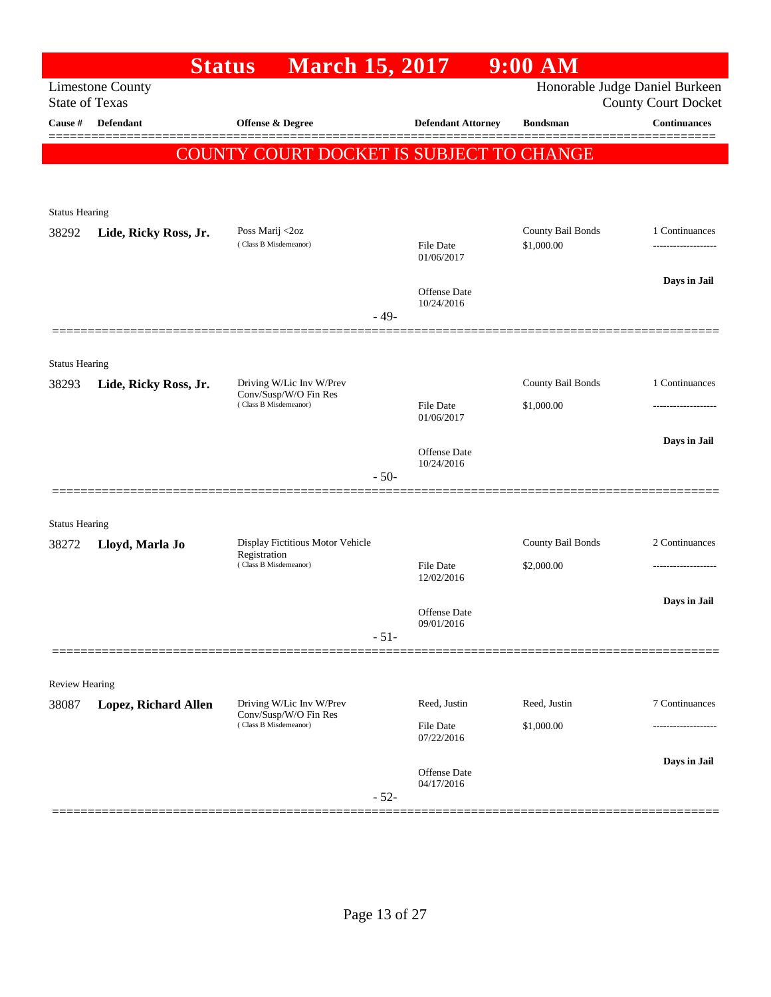|                                | <b>Status</b>               | <b>March 15, 2017</b>                                                      |        |                                | $9:00$ AM                       |                                      |
|--------------------------------|-----------------------------|----------------------------------------------------------------------------|--------|--------------------------------|---------------------------------|--------------------------------------|
| <b>State of Texas</b>          | <b>Limestone County</b>     |                                                                            |        |                                | Honorable Judge Daniel Burkeen  | <b>County Court Docket</b>           |
| Cause #                        | <b>Defendant</b>            | <b>Offense &amp; Degree</b>                                                |        | <b>Defendant Attorney</b>      | <b>Bondsman</b>                 | Continuances                         |
|                                |                             | COUNTY COURT DOCKET IS SUBJECT TO CHANGE                                   |        |                                |                                 |                                      |
|                                |                             |                                                                            |        |                                |                                 |                                      |
|                                |                             |                                                                            |        |                                |                                 |                                      |
| <b>Status Hearing</b>          |                             |                                                                            |        |                                |                                 |                                      |
| 38292                          | Lide, Ricky Ross, Jr.       | Poss Marij <2oz<br>(Class B Misdemeanor)                                   |        | File Date<br>01/06/2017        | County Bail Bonds<br>\$1,000.00 | 1 Continuances<br>------------------ |
|                                |                             |                                                                            |        | Offense Date<br>10/24/2016     |                                 | Days in Jail                         |
|                                |                             |                                                                            | $-49-$ |                                |                                 |                                      |
|                                |                             |                                                                            |        |                                |                                 |                                      |
| <b>Status Hearing</b>          |                             |                                                                            |        |                                |                                 | 1 Continuances                       |
| 38293                          | Lide, Ricky Ross, Jr.       | Driving W/Lic Inv W/Prev<br>Conv/Susp/W/O Fin Res<br>(Class B Misdemeanor) |        | <b>File Date</b>               | County Bail Bonds<br>\$1,000.00 |                                      |
|                                |                             |                                                                            |        | 01/06/2017                     |                                 |                                      |
|                                |                             |                                                                            |        | Offense Date                   |                                 | Days in Jail                         |
|                                |                             |                                                                            | $-50-$ | 10/24/2016                     |                                 |                                      |
|                                |                             |                                                                            |        |                                |                                 |                                      |
| <b>Status Hearing</b>          |                             |                                                                            |        |                                |                                 |                                      |
| 38272                          | Lloyd, Marla Jo             | Display Fictitious Motor Vehicle<br>Registration                           |        |                                | County Bail Bonds               | 2 Continuances                       |
|                                |                             | (Class B Misdemeanor)                                                      |        | <b>File Date</b><br>12/02/2016 | \$2,000.00                      |                                      |
|                                |                             |                                                                            |        |                                |                                 | Days in Jail                         |
|                                |                             |                                                                            |        | Offense Date<br>09/01/2016     |                                 |                                      |
|                                |                             |                                                                            | $-51-$ |                                |                                 |                                      |
|                                |                             |                                                                            |        |                                |                                 |                                      |
| <b>Review Hearing</b><br>38087 | <b>Lopez, Richard Allen</b> | Driving W/Lic Inv W/Prev                                                   |        | Reed, Justin                   | Reed, Justin                    | 7 Continuances                       |
|                                |                             | Conv/Susp/W/O Fin Res<br>(Class B Misdemeanor)                             |        | <b>File Date</b>               | \$1,000.00                      |                                      |
|                                |                             |                                                                            |        | 07/22/2016                     |                                 |                                      |
|                                |                             |                                                                            |        | Offense Date<br>04/17/2016     |                                 | Days in Jail                         |
|                                |                             |                                                                            | $-52-$ |                                |                                 |                                      |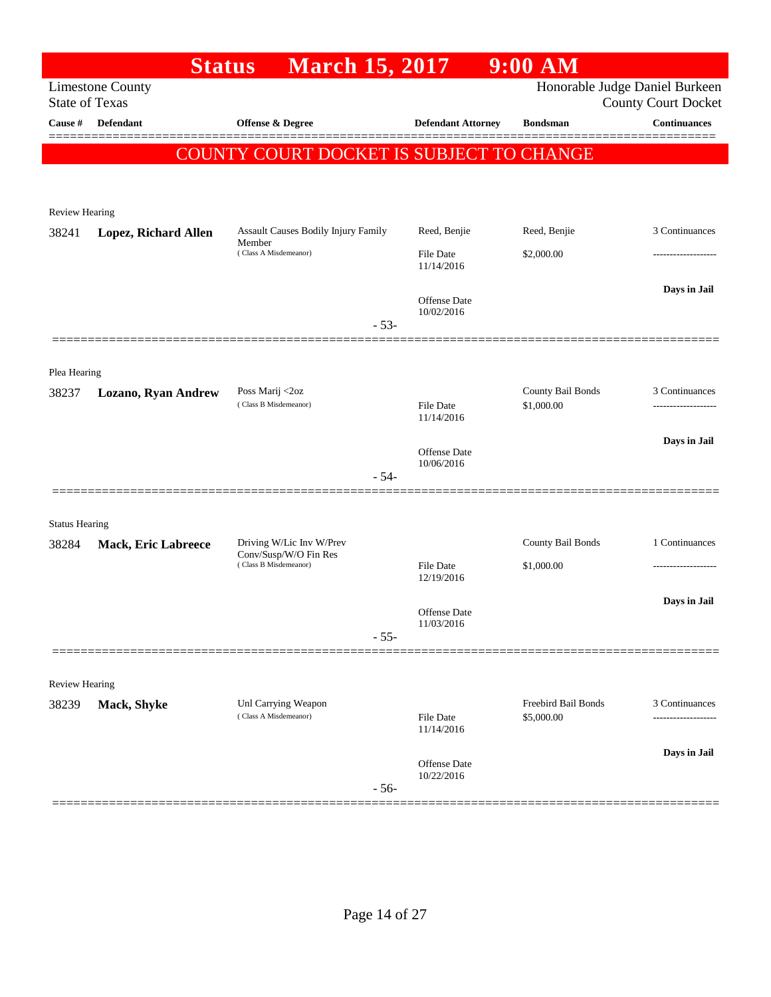|                                     | $9:00$ AM                         |                                   | <b>March 15, 2017</b>                             | <b>Status</b>              |                       |
|-------------------------------------|-----------------------------------|-----------------------------------|---------------------------------------------------|----------------------------|-----------------------|
| <b>County Court Docket</b>          | Honorable Judge Daniel Burkeen    |                                   |                                                   | <b>Limestone County</b>    | <b>State of Texas</b> |
| Continuances                        | <b>Bondsman</b>                   | <b>Defendant Attorney</b>         | Offense & Degree                                  | <b>Defendant</b>           | Cause #               |
|                                     |                                   |                                   | COUNTY COURT DOCKET IS SUBJECT TO CHANGE          |                            |                       |
|                                     |                                   |                                   |                                                   |                            |                       |
|                                     |                                   |                                   |                                                   |                            | Review Hearing        |
| 3 Continuances                      | Reed, Benjie                      | Reed, Benjie                      | Assault Causes Bodily Injury Family               | Lopez, Richard Allen       | 38241                 |
|                                     | \$2,000.00                        | File Date<br>11/14/2016           | Member<br>(Class A Misdemeanor)                   |                            |                       |
| Days in Jail                        |                                   | <b>Offense</b> Date<br>10/02/2016 |                                                   |                            |                       |
|                                     |                                   |                                   | $-53-$                                            |                            |                       |
|                                     |                                   |                                   |                                                   |                            |                       |
| 3 Continuances                      | County Bail Bonds                 |                                   | Poss Marij <2oz                                   |                            | Plea Hearing<br>38237 |
| -------------------                 | \$1,000.00                        | File Date<br>11/14/2016           | (Class B Misdemeanor)                             | Lozano, Ryan Andrew        |                       |
| Days in Jail                        |                                   | <b>Offense Date</b>               |                                                   |                            |                       |
|                                     |                                   | 10/06/2016                        | $-54-$                                            |                            |                       |
|                                     |                                   |                                   |                                                   |                            | <b>Status Hearing</b> |
| 1 Continuances                      | County Bail Bonds                 |                                   | Driving W/Lic Inv W/Prev<br>Conv/Susp/W/O Fin Res | <b>Mack, Eric Labreece</b> | 38284                 |
|                                     | \$1,000.00                        | <b>File Date</b><br>12/19/2016    | (Class B Misdemeanor)                             |                            |                       |
| Days in Jail                        |                                   | <b>Offense Date</b>               |                                                   |                            |                       |
|                                     |                                   | 11/03/2016                        | $-55-$                                            |                            |                       |
|                                     |                                   |                                   |                                                   |                            |                       |
|                                     |                                   |                                   |                                                   |                            | <b>Review Hearing</b> |
| 3 Continuances<br>----------------- | Freebird Bail Bonds<br>\$5,000.00 | <b>File Date</b><br>11/14/2016    | Unl Carrying Weapon<br>(Class A Misdemeanor)      | Mack, Shyke                | 38239                 |
| Days in Jail                        |                                   |                                   |                                                   |                            |                       |
|                                     |                                   | Offense Date<br>10/22/2016        | $-56-$                                            |                            |                       |
|                                     |                                   |                                   |                                                   |                            |                       |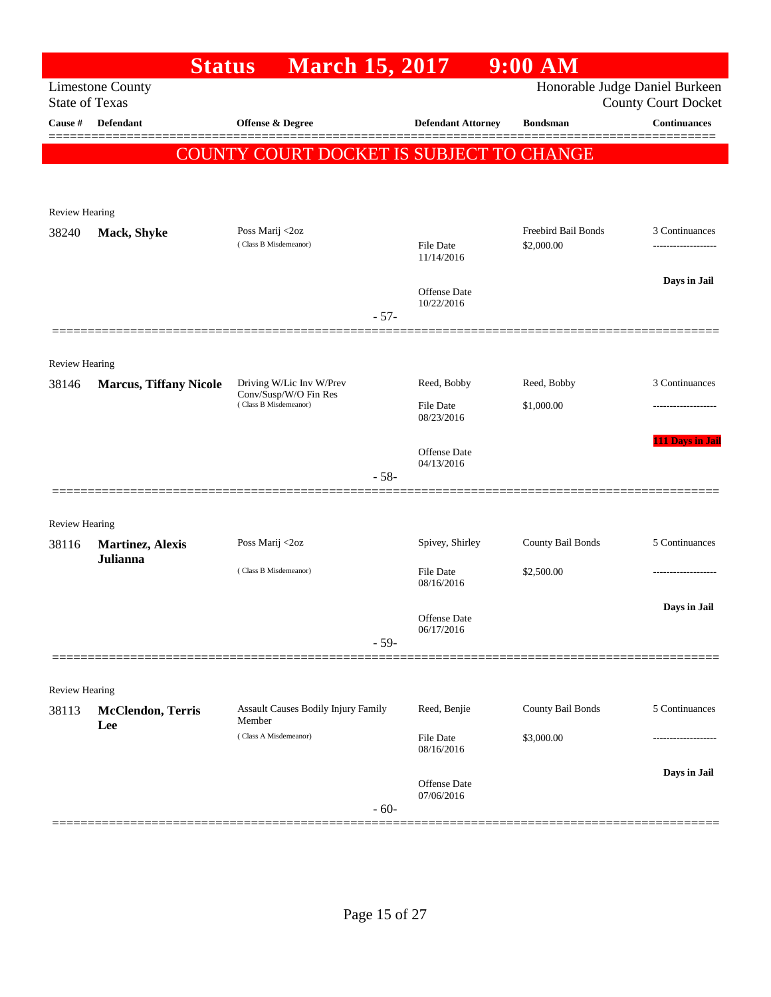|                       |                                 | <b>March 15, 2017</b><br><b>Status</b>         |                                   | $9:00$ AM           |                                                              |
|-----------------------|---------------------------------|------------------------------------------------|-----------------------------------|---------------------|--------------------------------------------------------------|
| <b>State of Texas</b> | <b>Limestone County</b>         |                                                |                                   |                     | Honorable Judge Daniel Burkeen<br><b>County Court Docket</b> |
| Cause #               | <b>Defendant</b>                | <b>Offense &amp; Degree</b>                    | <b>Defendant Attorney</b>         | <b>Bondsman</b>     | <b>Continuances</b>                                          |
|                       |                                 | COUNTY COURT DOCKET IS SUBJECT TO CHANGE       |                                   |                     |                                                              |
|                       |                                 |                                                |                                   |                     |                                                              |
|                       |                                 |                                                |                                   |                     |                                                              |
| <b>Review Hearing</b> |                                 |                                                |                                   | Freebird Bail Bonds |                                                              |
| 38240                 | Mack, Shyke                     | Poss Marij <2oz<br>(Class B Misdemeanor)       | <b>File Date</b><br>11/14/2016    | \$2,000.00          | 3 Continuances                                               |
|                       |                                 |                                                | <b>Offense</b> Date               |                     | Days in Jail                                                 |
|                       |                                 | $-57-$                                         | 10/22/2016                        |                     |                                                              |
|                       |                                 |                                                |                                   |                     |                                                              |
| <b>Review Hearing</b> |                                 | Driving W/Lic Inv W/Prev                       | Reed, Bobby                       | Reed, Bobby         | 3 Continuances                                               |
| 38146                 | <b>Marcus, Tiffany Nicole</b>   | Conv/Susp/W/O Fin Res<br>(Class B Misdemeanor) | <b>File Date</b>                  | \$1,000.00          |                                                              |
|                       |                                 |                                                | 08/23/2016                        |                     |                                                              |
|                       |                                 |                                                | Offense Date                      |                     | 111 Days in Jail                                             |
|                       |                                 | $-58-$                                         | 04/13/2016                        |                     |                                                              |
|                       |                                 |                                                |                                   |                     |                                                              |
| <b>Review Hearing</b> |                                 |                                                |                                   |                     |                                                              |
| 38116                 | <b>Martinez</b> , Alexis        | Poss Marij <2oz                                | Spivey, Shirley                   | County Bail Bonds   | 5 Continuances                                               |
|                       | Julianna                        | (Class B Misdemeanor)                          | <b>File Date</b>                  | \$2,500.00          | ----------------                                             |
|                       |                                 |                                                | 08/16/2016                        |                     |                                                              |
|                       |                                 |                                                | Offense Date<br>06/17/2016        |                     | Days in Jail                                                 |
|                       |                                 | $-59-$                                         |                                   |                     |                                                              |
|                       |                                 |                                                |                                   |                     |                                                              |
| Review Hearing        |                                 |                                                |                                   |                     |                                                              |
| 38113                 | <b>McClendon, Terris</b><br>Lee | Assault Causes Bodily Injury Family<br>Member  | Reed, Benjie                      | County Bail Bonds   | 5 Continuances                                               |
|                       |                                 | (Class A Misdemeanor)                          | <b>File Date</b><br>08/16/2016    | \$3,000.00          |                                                              |
|                       |                                 |                                                |                                   |                     | Days in Jail                                                 |
|                       |                                 |                                                | <b>Offense Date</b><br>07/06/2016 |                     |                                                              |
|                       |                                 | $-60-$                                         |                                   |                     |                                                              |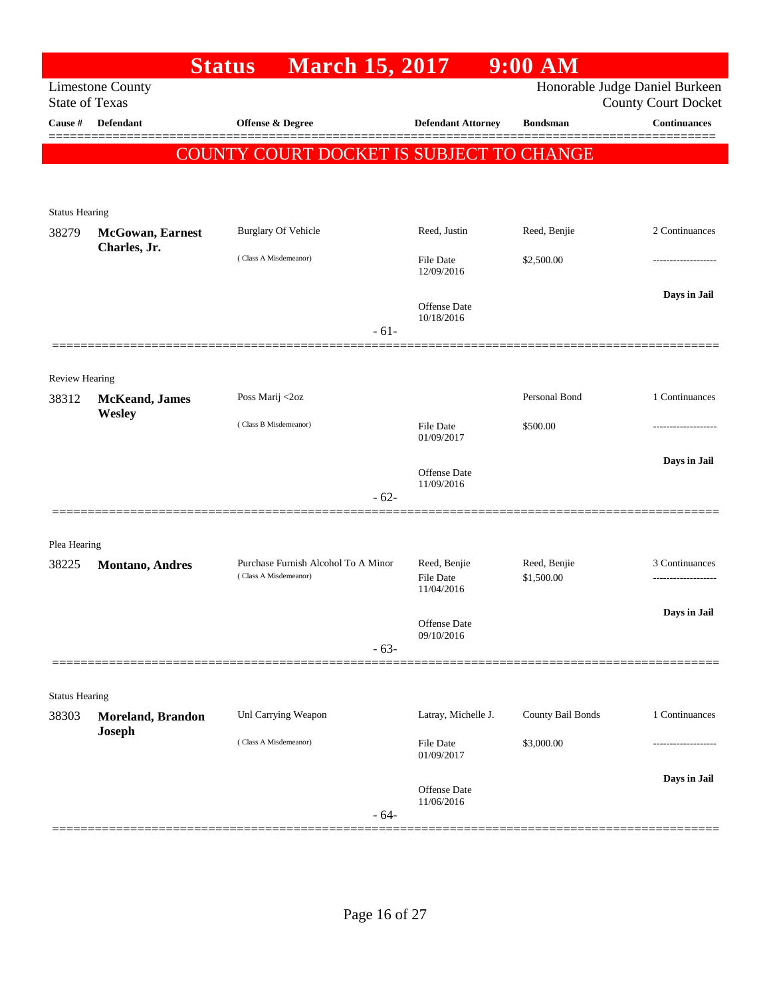|                                |                          | <b>Status</b><br><b>March 15, 2017</b>                       |                                   | $9:00$ AM                  |                                                              |
|--------------------------------|--------------------------|--------------------------------------------------------------|-----------------------------------|----------------------------|--------------------------------------------------------------|
| <b>State of Texas</b>          | <b>Limestone County</b>  |                                                              |                                   |                            | Honorable Judge Daniel Burkeen<br><b>County Court Docket</b> |
| Cause #                        | <b>Defendant</b>         | Offense & Degree                                             | <b>Defendant Attorney</b>         | <b>Bondsman</b>            | Continuances                                                 |
|                                |                          | <b>COUNTY COURT DOCKET IS SUBJECT TO CHANGE</b>              |                                   |                            |                                                              |
|                                |                          |                                                              |                                   |                            |                                                              |
|                                |                          |                                                              |                                   |                            |                                                              |
| <b>Status Hearing</b><br>38279 | <b>McGowan</b> , Earnest | <b>Burglary Of Vehicle</b>                                   | Reed, Justin                      | Reed, Benjie               | 2 Continuances                                               |
|                                | Charles, Jr.             | (Class A Misdemeanor)                                        | <b>File Date</b>                  | \$2,500.00                 |                                                              |
|                                |                          |                                                              | 12/09/2016                        |                            |                                                              |
|                                |                          |                                                              | <b>Offense</b> Date               |                            | Days in Jail                                                 |
|                                |                          | $-61-$                                                       | 10/18/2016                        |                            |                                                              |
|                                |                          |                                                              |                                   |                            |                                                              |
| Review Hearing                 |                          |                                                              |                                   |                            |                                                              |
| 38312                          | <b>McKeand</b> , James   | Poss Marij <2oz                                              |                                   | Personal Bond              | 1 Continuances                                               |
|                                | Wesley                   | (Class B Misdemeanor)                                        | File Date                         | \$500.00                   |                                                              |
|                                |                          |                                                              | 01/09/2017                        |                            |                                                              |
|                                |                          |                                                              | <b>Offense</b> Date               |                            | Days in Jail                                                 |
|                                |                          | $-62-$                                                       | 11/09/2016                        |                            |                                                              |
|                                |                          |                                                              |                                   |                            |                                                              |
| Plea Hearing                   |                          |                                                              |                                   |                            |                                                              |
| 38225                          | <b>Montano</b> , Andres  | Purchase Furnish Alcohol To A Minor<br>(Class A Misdemeanor) | Reed, Benjie<br>File Date         | Reed, Benjie<br>\$1,500.00 | 3 Continuances<br>.                                          |
|                                |                          |                                                              | 11/04/2016                        |                            |                                                              |
|                                |                          |                                                              | Offense Date                      |                            | Days in Jail                                                 |
|                                |                          | $-63-$                                                       | 09/10/2016                        |                            |                                                              |
|                                |                          |                                                              |                                   |                            |                                                              |
| <b>Status Hearing</b>          |                          |                                                              |                                   |                            |                                                              |
| 38303                          | <b>Moreland, Brandon</b> | Unl Carrying Weapon                                          | Latray, Michelle J.               | County Bail Bonds          | 1 Continuances                                               |
|                                | <b>Joseph</b>            | (Class A Misdemeanor)                                        | <b>File Date</b>                  | \$3,000.00                 | ---------------                                              |
|                                |                          |                                                              | 01/09/2017                        |                            |                                                              |
|                                |                          |                                                              | <b>Offense Date</b><br>11/06/2016 |                            | Days in Jail                                                 |
|                                |                          | $-64-$                                                       |                                   |                            |                                                              |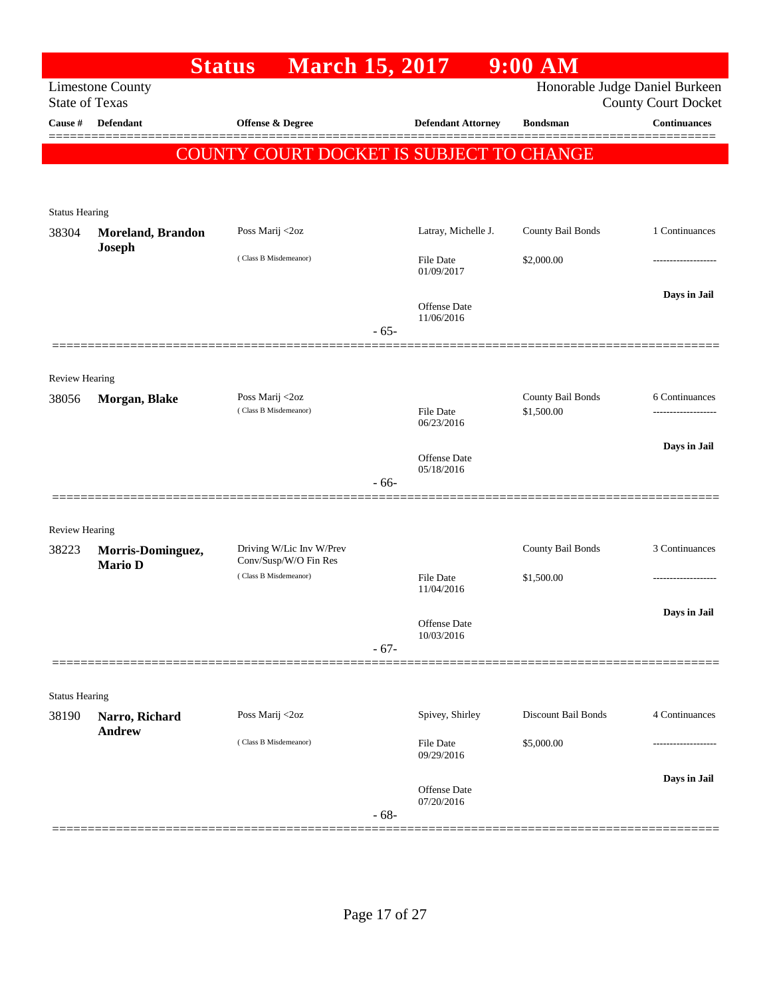|                       |                          | <b>March 15, 2017</b><br><b>Status</b>          |        |                                | 9:00 AM                    |                                |
|-----------------------|--------------------------|-------------------------------------------------|--------|--------------------------------|----------------------------|--------------------------------|
|                       | <b>Limestone County</b>  |                                                 |        |                                |                            | Honorable Judge Daniel Burkeen |
| <b>State of Texas</b> |                          |                                                 |        |                                |                            | <b>County Court Docket</b>     |
| Cause #               | Defendant                | Offense & Degree                                |        | <b>Defendant Attorney</b>      | <b>Bondsman</b>            | <b>Continuances</b><br>====    |
|                       |                          | <b>COUNTY COURT DOCKET IS SUBJECT TO CHANGE</b> |        |                                |                            |                                |
|                       |                          |                                                 |        |                                |                            |                                |
|                       |                          |                                                 |        |                                |                            |                                |
| <b>Status Hearing</b> |                          |                                                 |        |                                |                            |                                |
| 38304                 | <b>Moreland, Brandon</b> | Poss Marij <2oz                                 |        | Latray, Michelle J.            | County Bail Bonds          | 1 Continuances                 |
|                       | Joseph                   | (Class B Misdemeanor)                           |        | <b>File Date</b>               | \$2,000.00                 |                                |
|                       |                          |                                                 |        | 01/09/2017                     |                            |                                |
|                       |                          |                                                 |        | Offense Date                   |                            | Days in Jail                   |
|                       |                          |                                                 |        | 11/06/2016                     |                            |                                |
|                       |                          |                                                 | $-65-$ |                                |                            |                                |
|                       |                          |                                                 |        |                                |                            |                                |
| Review Hearing        |                          |                                                 |        |                                |                            |                                |
| 38056                 | Morgan, Blake            | Poss Marij <2oz<br>(Class B Misdemeanor)        |        |                                | County Bail Bonds          | 6 Continuances                 |
|                       |                          |                                                 |        | <b>File Date</b><br>06/23/2016 | \$1,500.00                 |                                |
|                       |                          |                                                 |        |                                |                            | Days in Jail                   |
|                       |                          |                                                 |        | Offense Date<br>05/18/2016     |                            |                                |
|                       |                          |                                                 | $-66-$ |                                |                            |                                |
|                       |                          |                                                 |        |                                |                            |                                |
| Review Hearing        |                          |                                                 |        |                                |                            |                                |
| 38223                 | Morris-Dominguez,        | Driving W/Lic Inv W/Prev                        |        |                                | County Bail Bonds          | 3 Continuances                 |
|                       | <b>Mario D</b>           | Conv/Susp/W/O Fin Res<br>(Class B Misdemeanor)  |        | <b>File Date</b>               | \$1,500.00                 |                                |
|                       |                          |                                                 |        | 11/04/2016                     |                            |                                |
|                       |                          |                                                 |        |                                |                            | Days in Jail                   |
|                       |                          |                                                 |        | Offense Date<br>10/03/2016     |                            |                                |
|                       |                          |                                                 | $-67-$ |                                |                            |                                |
|                       |                          |                                                 |        |                                |                            |                                |
| <b>Status Hearing</b> |                          |                                                 |        |                                |                            |                                |
| 38190                 | Narro, Richard           | Poss Marij <2oz                                 |        | Spivey, Shirley                | <b>Discount Bail Bonds</b> | 4 Continuances                 |
|                       | <b>Andrew</b>            | (Class B Misdemeanor)                           |        | File Date                      | \$5,000.00                 |                                |
|                       |                          |                                                 |        | 09/29/2016                     |                            |                                |
|                       |                          |                                                 |        |                                |                            | Days in Jail                   |
|                       |                          |                                                 |        | Offense Date<br>07/20/2016     |                            |                                |
|                       |                          |                                                 | $-68-$ |                                |                            |                                |
|                       |                          |                                                 |        |                                |                            |                                |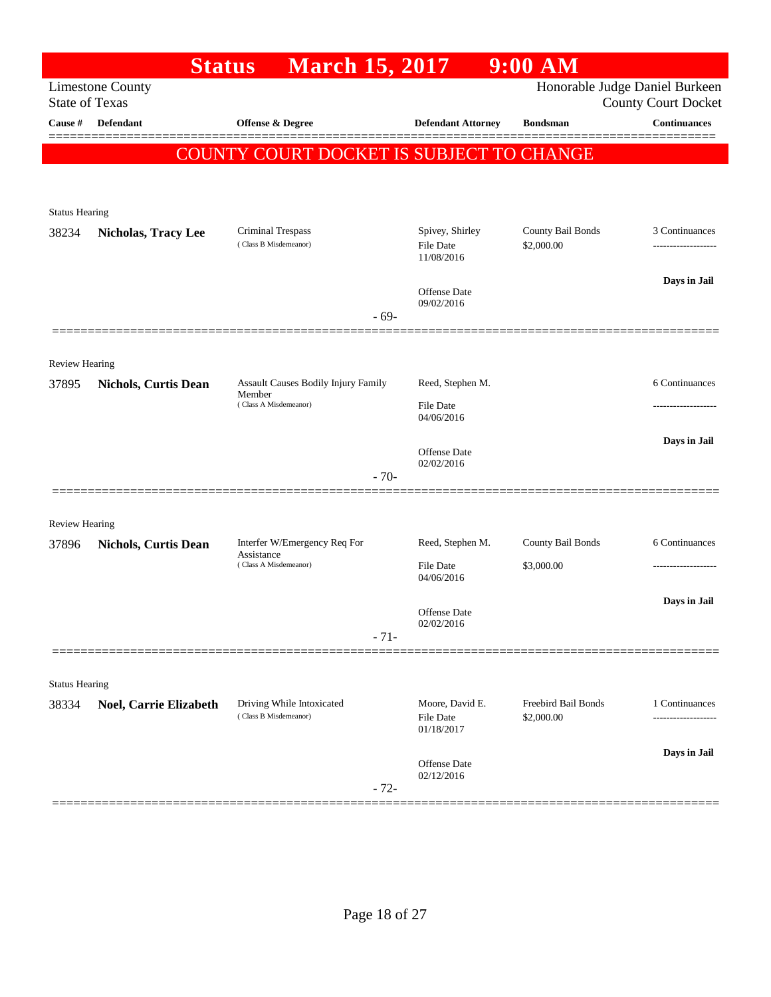|                       | <b>Status</b>               | <b>March 15, 2017</b>                              |                                     | 9:00 AM                         |                                                              |
|-----------------------|-----------------------------|----------------------------------------------------|-------------------------------------|---------------------------------|--------------------------------------------------------------|
| <b>State of Texas</b> | <b>Limestone County</b>     |                                                    |                                     |                                 | Honorable Judge Daniel Burkeen<br><b>County Court Docket</b> |
| Cause #               | <b>Defendant</b>            | Offense & Degree                                   | <b>Defendant Attorney</b>           | <b>Bondsman</b>                 | Continuances                                                 |
|                       |                             |                                                    |                                     |                                 |                                                              |
|                       |                             | <b>COUNTY COURT DOCKET IS SUBJECT TO CHANGE</b>    |                                     |                                 |                                                              |
|                       |                             |                                                    |                                     |                                 |                                                              |
| <b>Status Hearing</b> |                             |                                                    |                                     |                                 |                                                              |
| 38234                 | <b>Nicholas, Tracy Lee</b>  | Criminal Trespass<br>(Class B Misdemeanor)         | Spivey, Shirley<br><b>File Date</b> | County Bail Bonds<br>\$2,000.00 | 3 Continuances                                               |
|                       |                             |                                                    | 11/08/2016                          |                                 |                                                              |
|                       |                             |                                                    | Offense Date                        |                                 | Days in Jail                                                 |
|                       |                             |                                                    | 09/02/2016<br>$-69-$                |                                 |                                                              |
|                       |                             |                                                    |                                     |                                 |                                                              |
| Review Hearing        |                             |                                                    |                                     |                                 |                                                              |
| 37895                 | <b>Nichols, Curtis Dean</b> | Assault Causes Bodily Injury Family                | Reed, Stephen M.                    |                                 | 6 Continuances                                               |
|                       |                             | Member<br>(Class A Misdemeanor)                    | <b>File Date</b>                    |                                 | ----------------                                             |
|                       |                             |                                                    | 04/06/2016                          |                                 |                                                              |
|                       |                             |                                                    | <b>Offense Date</b>                 |                                 | Days in Jail                                                 |
|                       |                             |                                                    | 02/02/2016<br>$-70-$                |                                 |                                                              |
|                       |                             |                                                    |                                     |                                 |                                                              |
| Review Hearing        |                             |                                                    |                                     |                                 |                                                              |
| 37896                 | <b>Nichols, Curtis Dean</b> | Interfer W/Emergency Req For                       | Reed, Stephen M.                    | County Bail Bonds               | 6 Continuances                                               |
|                       |                             | Assistance<br>(Class A Misdemeanor)                | <b>File Date</b>                    | \$3,000.00                      |                                                              |
|                       |                             |                                                    | 04/06/2016                          |                                 |                                                              |
|                       |                             |                                                    | Offense Date                        |                                 | Days in Jail                                                 |
|                       |                             |                                                    | 02/02/2016<br>$-71-$                |                                 |                                                              |
|                       |                             |                                                    |                                     |                                 |                                                              |
| <b>Status Hearing</b> |                             |                                                    |                                     |                                 |                                                              |
| 38334                 | Noel, Carrie Elizabeth      | Driving While Intoxicated<br>(Class B Misdemeanor) | Moore, David E.                     | Freebird Bail Bonds             | 1 Continuances                                               |
|                       |                             |                                                    | <b>File Date</b><br>01/18/2017      | \$2,000.00                      | .                                                            |
|                       |                             |                                                    |                                     |                                 | Days in Jail                                                 |
|                       |                             |                                                    | Offense Date<br>02/12/2016          |                                 |                                                              |
|                       |                             |                                                    | $-72-$                              |                                 |                                                              |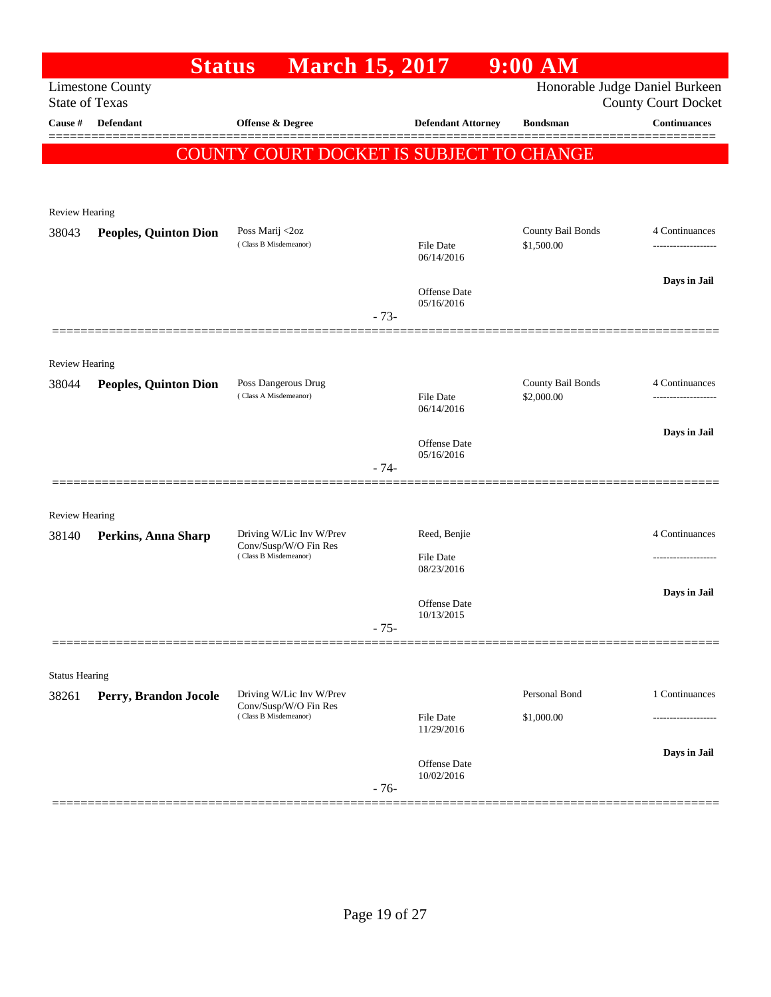| Honorable Judge Daniel Burkeen<br><b>Limestone County</b><br><b>State of Texas</b><br><b>County Court Docket</b><br><b>Continuances</b><br>Cause #<br><b>Defendant</b><br><b>Offense &amp; Degree</b><br><b>Defendant Attorney</b><br><b>Bondsman</b><br>COUNTY COURT DOCKET IS SUBJECT TO CHANGE<br>Review Hearing<br>County Bail Bonds<br>Poss Marij <2oz<br>4 Continuances<br>38043<br><b>Peoples, Quinton Dion</b><br>(Class B Misdemeanor)<br>\$1,500.00<br><b>File Date</b><br>06/14/2016<br>Days in Jail<br>Offense Date<br>05/16/2016<br>$-73-$<br>Review Hearing<br>County Bail Bonds<br>Poss Dangerous Drug<br>4 Continuances<br>38044<br><b>Peoples, Quinton Dion</b><br>(Class A Misdemeanor)<br><b>File Date</b><br>\$2,000.00<br>.<br>06/14/2016<br>Days in Jail<br><b>Offense Date</b><br>05/16/2016<br>$-74-$<br><b>Review Hearing</b><br>Driving W/Lic Inv W/Prev<br>Reed, Benjie<br>4 Continuances<br>38140<br>Perkins, Anna Sharp<br>Conv/Susp/W/O Fin Res<br>(Class B Misdemeanor)<br><b>File Date</b><br>08/23/2016<br>Days in Jail<br>Offense Date<br>10/13/2015<br>$-75-$<br><b>Status Hearing</b><br>Personal Bond<br>Driving W/Lic Inv W/Prev<br>1 Continuances<br>Perry, Brandon Jocole<br>Conv/Susp/W/O Fin Res<br>(Class B Misdemeanor)<br><b>File Date</b><br>\$1,000.00<br>11/29/2016<br>Days in Jail<br>Offense Date<br>10/02/2016<br>$-76-$ |       | <b>Status</b> | <b>March 15, 2017</b> |  | $9:00$ AM |  |
|-----------------------------------------------------------------------------------------------------------------------------------------------------------------------------------------------------------------------------------------------------------------------------------------------------------------------------------------------------------------------------------------------------------------------------------------------------------------------------------------------------------------------------------------------------------------------------------------------------------------------------------------------------------------------------------------------------------------------------------------------------------------------------------------------------------------------------------------------------------------------------------------------------------------------------------------------------------------------------------------------------------------------------------------------------------------------------------------------------------------------------------------------------------------------------------------------------------------------------------------------------------------------------------------------------------------------------------------------------------------------------|-------|---------------|-----------------------|--|-----------|--|
|                                                                                                                                                                                                                                                                                                                                                                                                                                                                                                                                                                                                                                                                                                                                                                                                                                                                                                                                                                                                                                                                                                                                                                                                                                                                                                                                                                             |       |               |                       |  |           |  |
|                                                                                                                                                                                                                                                                                                                                                                                                                                                                                                                                                                                                                                                                                                                                                                                                                                                                                                                                                                                                                                                                                                                                                                                                                                                                                                                                                                             |       |               |                       |  |           |  |
|                                                                                                                                                                                                                                                                                                                                                                                                                                                                                                                                                                                                                                                                                                                                                                                                                                                                                                                                                                                                                                                                                                                                                                                                                                                                                                                                                                             |       |               |                       |  |           |  |
|                                                                                                                                                                                                                                                                                                                                                                                                                                                                                                                                                                                                                                                                                                                                                                                                                                                                                                                                                                                                                                                                                                                                                                                                                                                                                                                                                                             |       |               |                       |  |           |  |
|                                                                                                                                                                                                                                                                                                                                                                                                                                                                                                                                                                                                                                                                                                                                                                                                                                                                                                                                                                                                                                                                                                                                                                                                                                                                                                                                                                             |       |               |                       |  |           |  |
|                                                                                                                                                                                                                                                                                                                                                                                                                                                                                                                                                                                                                                                                                                                                                                                                                                                                                                                                                                                                                                                                                                                                                                                                                                                                                                                                                                             |       |               |                       |  |           |  |
|                                                                                                                                                                                                                                                                                                                                                                                                                                                                                                                                                                                                                                                                                                                                                                                                                                                                                                                                                                                                                                                                                                                                                                                                                                                                                                                                                                             |       |               |                       |  |           |  |
|                                                                                                                                                                                                                                                                                                                                                                                                                                                                                                                                                                                                                                                                                                                                                                                                                                                                                                                                                                                                                                                                                                                                                                                                                                                                                                                                                                             |       |               |                       |  |           |  |
|                                                                                                                                                                                                                                                                                                                                                                                                                                                                                                                                                                                                                                                                                                                                                                                                                                                                                                                                                                                                                                                                                                                                                                                                                                                                                                                                                                             |       |               |                       |  |           |  |
|                                                                                                                                                                                                                                                                                                                                                                                                                                                                                                                                                                                                                                                                                                                                                                                                                                                                                                                                                                                                                                                                                                                                                                                                                                                                                                                                                                             |       |               |                       |  |           |  |
|                                                                                                                                                                                                                                                                                                                                                                                                                                                                                                                                                                                                                                                                                                                                                                                                                                                                                                                                                                                                                                                                                                                                                                                                                                                                                                                                                                             |       |               |                       |  |           |  |
|                                                                                                                                                                                                                                                                                                                                                                                                                                                                                                                                                                                                                                                                                                                                                                                                                                                                                                                                                                                                                                                                                                                                                                                                                                                                                                                                                                             |       |               |                       |  |           |  |
|                                                                                                                                                                                                                                                                                                                                                                                                                                                                                                                                                                                                                                                                                                                                                                                                                                                                                                                                                                                                                                                                                                                                                                                                                                                                                                                                                                             |       |               |                       |  |           |  |
|                                                                                                                                                                                                                                                                                                                                                                                                                                                                                                                                                                                                                                                                                                                                                                                                                                                                                                                                                                                                                                                                                                                                                                                                                                                                                                                                                                             |       |               |                       |  |           |  |
|                                                                                                                                                                                                                                                                                                                                                                                                                                                                                                                                                                                                                                                                                                                                                                                                                                                                                                                                                                                                                                                                                                                                                                                                                                                                                                                                                                             |       |               |                       |  |           |  |
|                                                                                                                                                                                                                                                                                                                                                                                                                                                                                                                                                                                                                                                                                                                                                                                                                                                                                                                                                                                                                                                                                                                                                                                                                                                                                                                                                                             |       |               |                       |  |           |  |
|                                                                                                                                                                                                                                                                                                                                                                                                                                                                                                                                                                                                                                                                                                                                                                                                                                                                                                                                                                                                                                                                                                                                                                                                                                                                                                                                                                             |       |               |                       |  |           |  |
|                                                                                                                                                                                                                                                                                                                                                                                                                                                                                                                                                                                                                                                                                                                                                                                                                                                                                                                                                                                                                                                                                                                                                                                                                                                                                                                                                                             |       |               |                       |  |           |  |
|                                                                                                                                                                                                                                                                                                                                                                                                                                                                                                                                                                                                                                                                                                                                                                                                                                                                                                                                                                                                                                                                                                                                                                                                                                                                                                                                                                             |       |               |                       |  |           |  |
|                                                                                                                                                                                                                                                                                                                                                                                                                                                                                                                                                                                                                                                                                                                                                                                                                                                                                                                                                                                                                                                                                                                                                                                                                                                                                                                                                                             |       |               |                       |  |           |  |
|                                                                                                                                                                                                                                                                                                                                                                                                                                                                                                                                                                                                                                                                                                                                                                                                                                                                                                                                                                                                                                                                                                                                                                                                                                                                                                                                                                             |       |               |                       |  |           |  |
|                                                                                                                                                                                                                                                                                                                                                                                                                                                                                                                                                                                                                                                                                                                                                                                                                                                                                                                                                                                                                                                                                                                                                                                                                                                                                                                                                                             |       |               |                       |  |           |  |
|                                                                                                                                                                                                                                                                                                                                                                                                                                                                                                                                                                                                                                                                                                                                                                                                                                                                                                                                                                                                                                                                                                                                                                                                                                                                                                                                                                             |       |               |                       |  |           |  |
|                                                                                                                                                                                                                                                                                                                                                                                                                                                                                                                                                                                                                                                                                                                                                                                                                                                                                                                                                                                                                                                                                                                                                                                                                                                                                                                                                                             |       |               |                       |  |           |  |
|                                                                                                                                                                                                                                                                                                                                                                                                                                                                                                                                                                                                                                                                                                                                                                                                                                                                                                                                                                                                                                                                                                                                                                                                                                                                                                                                                                             |       |               |                       |  |           |  |
|                                                                                                                                                                                                                                                                                                                                                                                                                                                                                                                                                                                                                                                                                                                                                                                                                                                                                                                                                                                                                                                                                                                                                                                                                                                                                                                                                                             | 38261 |               |                       |  |           |  |
|                                                                                                                                                                                                                                                                                                                                                                                                                                                                                                                                                                                                                                                                                                                                                                                                                                                                                                                                                                                                                                                                                                                                                                                                                                                                                                                                                                             |       |               |                       |  |           |  |
|                                                                                                                                                                                                                                                                                                                                                                                                                                                                                                                                                                                                                                                                                                                                                                                                                                                                                                                                                                                                                                                                                                                                                                                                                                                                                                                                                                             |       |               |                       |  |           |  |
|                                                                                                                                                                                                                                                                                                                                                                                                                                                                                                                                                                                                                                                                                                                                                                                                                                                                                                                                                                                                                                                                                                                                                                                                                                                                                                                                                                             |       |               |                       |  |           |  |
|                                                                                                                                                                                                                                                                                                                                                                                                                                                                                                                                                                                                                                                                                                                                                                                                                                                                                                                                                                                                                                                                                                                                                                                                                                                                                                                                                                             |       |               |                       |  |           |  |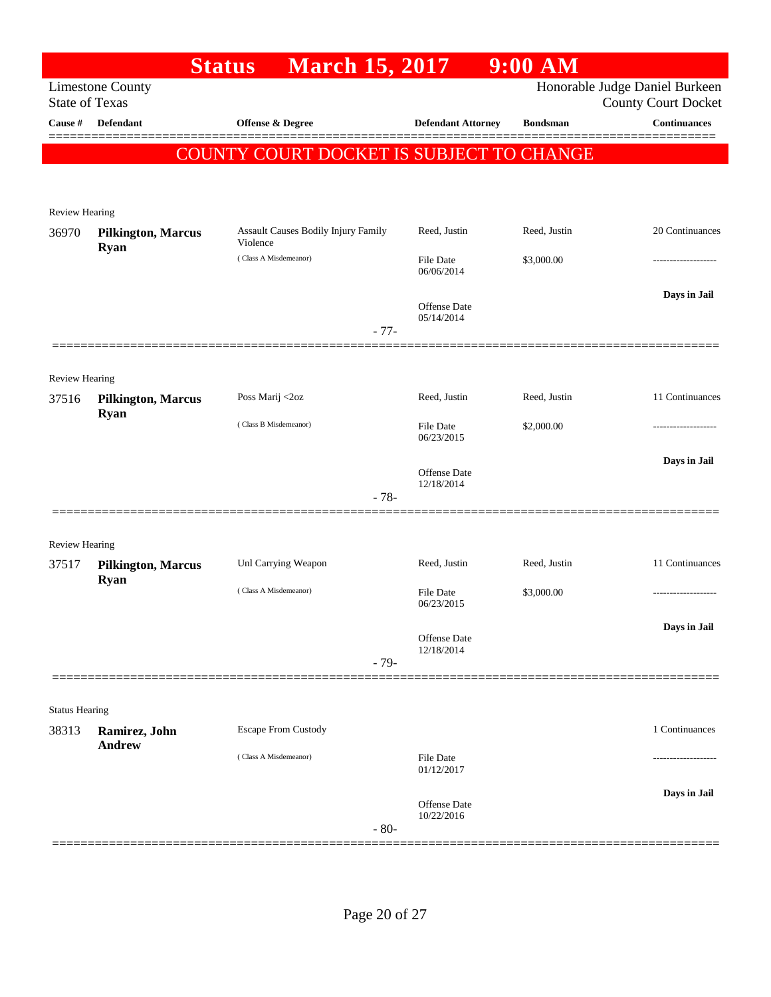|                                  |                                          | <b>Status</b><br><b>March 15, 2017</b>     |                                   | $9:00$ AM       |                                            |
|----------------------------------|------------------------------------------|--------------------------------------------|-----------------------------------|-----------------|--------------------------------------------|
|                                  | <b>Limestone County</b>                  |                                            |                                   |                 | Honorable Judge Daniel Burkeen             |
| <b>State of Texas</b><br>Cause # | <b>Defendant</b>                         | Offense & Degree                           | <b>Defendant Attorney</b>         | <b>Bondsman</b> | <b>County Court Docket</b><br>Continuances |
|                                  |                                          |                                            |                                   |                 |                                            |
|                                  |                                          | COUNTY COURT DOCKET IS SUBJECT TO CHANGE   |                                   |                 |                                            |
|                                  |                                          |                                            |                                   |                 |                                            |
| Review Hearing                   |                                          |                                            |                                   |                 |                                            |
| 36970                            | <b>Pilkington, Marcus</b>                | <b>Assault Causes Bodily Injury Family</b> | Reed, Justin                      | Reed, Justin    | 20 Continuances                            |
|                                  | <b>Ryan</b>                              | Violence<br>(Class A Misdemeanor)          | <b>File Date</b>                  | \$3,000.00      |                                            |
|                                  |                                          |                                            | 06/06/2014                        |                 |                                            |
|                                  |                                          |                                            | Offense Date                      |                 | Days in Jail                               |
|                                  |                                          |                                            | 05/14/2014                        |                 |                                            |
|                                  |                                          |                                            | $-77-$                            |                 |                                            |
|                                  |                                          |                                            |                                   |                 |                                            |
| Review Hearing                   |                                          |                                            | Reed, Justin                      | Reed, Justin    | 11 Continuances                            |
| 37516                            | <b>Pilkington, Marcus</b><br><b>Ryan</b> | Poss Marij <2oz                            |                                   |                 |                                            |
|                                  |                                          | (Class B Misdemeanor)                      | File Date<br>06/23/2015           | \$2,000.00      |                                            |
|                                  |                                          |                                            |                                   |                 | Days in Jail                               |
|                                  |                                          |                                            | <b>Offense Date</b><br>12/18/2014 |                 |                                            |
|                                  |                                          |                                            | $-78-$                            |                 |                                            |
|                                  |                                          |                                            |                                   |                 |                                            |
| Review Hearing                   |                                          |                                            |                                   |                 |                                            |
| 37517                            | <b>Pilkington, Marcus</b>                | Unl Carrying Weapon                        | Reed, Justin                      | Reed, Justin    | 11 Continuances                            |
|                                  | <b>Ryan</b>                              | (Class A Misdemeanor)                      | File Date                         | \$3,000.00      |                                            |
|                                  |                                          |                                            | 06/23/2015                        |                 |                                            |
|                                  |                                          |                                            | Offense Date                      |                 | Days in Jail                               |
|                                  |                                          |                                            | 12/18/2014                        |                 |                                            |
|                                  |                                          |                                            | $-79-$                            |                 |                                            |
|                                  |                                          |                                            |                                   |                 |                                            |
| <b>Status Hearing</b>            |                                          |                                            |                                   |                 | 1 Continuances                             |
| 38313                            | Ramirez, John<br><b>Andrew</b>           | <b>Escape From Custody</b>                 |                                   |                 |                                            |
|                                  |                                          | (Class A Misdemeanor)                      | <b>File Date</b><br>01/12/2017    |                 |                                            |
|                                  |                                          |                                            |                                   |                 | Days in Jail                               |
|                                  |                                          |                                            | Offense Date<br>10/22/2016        |                 |                                            |
|                                  |                                          |                                            | $-80-$                            |                 |                                            |
|                                  |                                          |                                            |                                   |                 |                                            |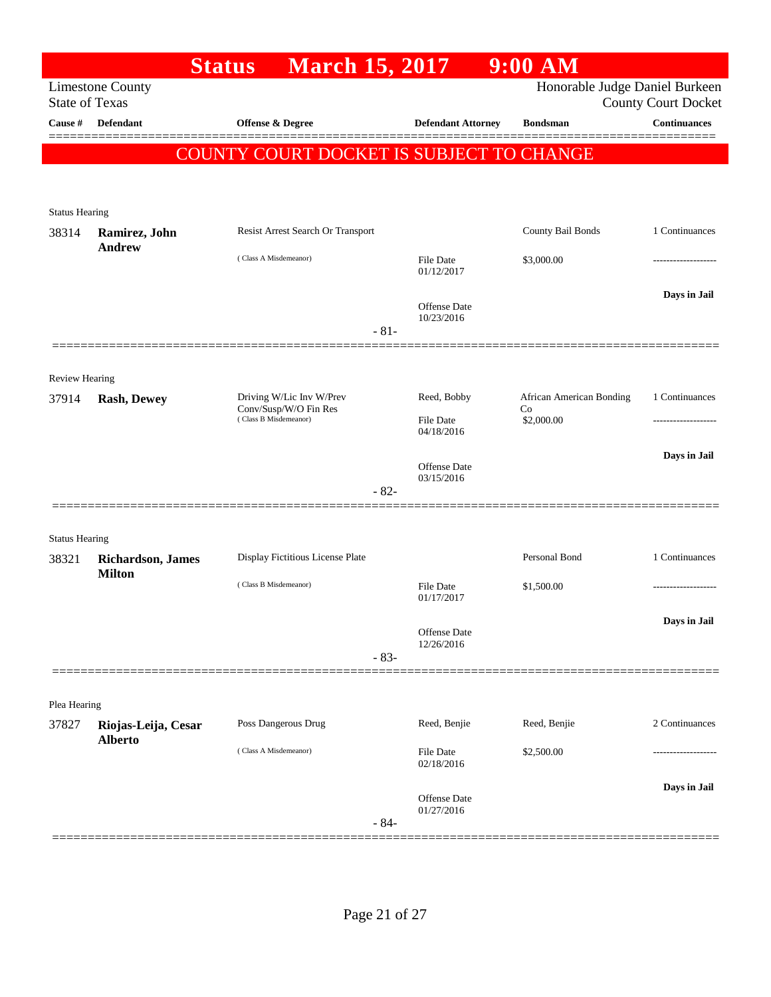| Honorable Judge Daniel Burkeen<br><b>Limestone County</b><br><b>State of Texas</b><br><b>County Court Docket</b><br><b>Continuances</b><br><b>Defendant</b><br><b>Offense &amp; Degree</b><br><b>Defendant Attorney</b><br><b>Bondsman</b><br>COUNTY COURT DOCKET IS SUBJECT TO CHANGE<br><b>Status Hearing</b><br>County Bail Bonds<br>1 Continuances<br>Resist Arrest Search Or Transport<br>38314<br>Ramirez, John<br><b>Andrew</b><br>(Class A Misdemeanor)<br>\$3,000.00<br>File Date<br>01/12/2017<br>Days in Jail<br><b>Offense Date</b><br>10/23/2016<br>$-81-$<br><b>Review Hearing</b><br>1 Continuances<br>Driving W/Lic Inv W/Prev<br>Reed, Bobby<br>African American Bonding<br><b>Rash, Dewey</b><br>Conv/Susp/W/O Fin Res<br>Co<br>(Class B Misdemeanor)<br>File Date<br>\$2,000.00<br>04/18/2016<br>Days in Jail<br><b>Offense</b> Date<br>03/15/2016<br>$-82-$<br><b>Status Hearing</b><br>Display Fictitious License Plate<br>Personal Bond<br>1 Continuances<br>Richardson, James<br>38321<br><b>Milton</b><br>(Class B Misdemeanor)<br>File Date<br>\$1,500.00<br>01/17/2017<br>Days in Jail<br>Offense Date<br>12/26/2016<br>$-83-$<br>Plea Hearing<br>Poss Dangerous Drug<br>Reed, Benjie<br>Reed, Benjie<br>2 Continuances<br>Riojas-Leija, Cesar<br><b>Alberto</b><br>(Class A Misdemeanor)<br>File Date<br>\$2,500.00<br>02/18/2016<br>Days in Jail<br><b>Offense Date</b><br>01/27/2016<br>$-84-$ |         | <b>March 15, 2017</b><br><b>Status</b> | $9:00$ AM |  |
|-----------------------------------------------------------------------------------------------------------------------------------------------------------------------------------------------------------------------------------------------------------------------------------------------------------------------------------------------------------------------------------------------------------------------------------------------------------------------------------------------------------------------------------------------------------------------------------------------------------------------------------------------------------------------------------------------------------------------------------------------------------------------------------------------------------------------------------------------------------------------------------------------------------------------------------------------------------------------------------------------------------------------------------------------------------------------------------------------------------------------------------------------------------------------------------------------------------------------------------------------------------------------------------------------------------------------------------------------------------------------------------------------------------------------------|---------|----------------------------------------|-----------|--|
|                                                                                                                                                                                                                                                                                                                                                                                                                                                                                                                                                                                                                                                                                                                                                                                                                                                                                                                                                                                                                                                                                                                                                                                                                                                                                                                                                                                                                             |         |                                        |           |  |
|                                                                                                                                                                                                                                                                                                                                                                                                                                                                                                                                                                                                                                                                                                                                                                                                                                                                                                                                                                                                                                                                                                                                                                                                                                                                                                                                                                                                                             | Cause # |                                        |           |  |
|                                                                                                                                                                                                                                                                                                                                                                                                                                                                                                                                                                                                                                                                                                                                                                                                                                                                                                                                                                                                                                                                                                                                                                                                                                                                                                                                                                                                                             |         |                                        |           |  |
|                                                                                                                                                                                                                                                                                                                                                                                                                                                                                                                                                                                                                                                                                                                                                                                                                                                                                                                                                                                                                                                                                                                                                                                                                                                                                                                                                                                                                             |         |                                        |           |  |
|                                                                                                                                                                                                                                                                                                                                                                                                                                                                                                                                                                                                                                                                                                                                                                                                                                                                                                                                                                                                                                                                                                                                                                                                                                                                                                                                                                                                                             |         |                                        |           |  |
|                                                                                                                                                                                                                                                                                                                                                                                                                                                                                                                                                                                                                                                                                                                                                                                                                                                                                                                                                                                                                                                                                                                                                                                                                                                                                                                                                                                                                             |         |                                        |           |  |
|                                                                                                                                                                                                                                                                                                                                                                                                                                                                                                                                                                                                                                                                                                                                                                                                                                                                                                                                                                                                                                                                                                                                                                                                                                                                                                                                                                                                                             |         |                                        |           |  |
|                                                                                                                                                                                                                                                                                                                                                                                                                                                                                                                                                                                                                                                                                                                                                                                                                                                                                                                                                                                                                                                                                                                                                                                                                                                                                                                                                                                                                             |         |                                        |           |  |
|                                                                                                                                                                                                                                                                                                                                                                                                                                                                                                                                                                                                                                                                                                                                                                                                                                                                                                                                                                                                                                                                                                                                                                                                                                                                                                                                                                                                                             |         |                                        |           |  |
|                                                                                                                                                                                                                                                                                                                                                                                                                                                                                                                                                                                                                                                                                                                                                                                                                                                                                                                                                                                                                                                                                                                                                                                                                                                                                                                                                                                                                             |         |                                        |           |  |
|                                                                                                                                                                                                                                                                                                                                                                                                                                                                                                                                                                                                                                                                                                                                                                                                                                                                                                                                                                                                                                                                                                                                                                                                                                                                                                                                                                                                                             |         |                                        |           |  |
|                                                                                                                                                                                                                                                                                                                                                                                                                                                                                                                                                                                                                                                                                                                                                                                                                                                                                                                                                                                                                                                                                                                                                                                                                                                                                                                                                                                                                             |         |                                        |           |  |
|                                                                                                                                                                                                                                                                                                                                                                                                                                                                                                                                                                                                                                                                                                                                                                                                                                                                                                                                                                                                                                                                                                                                                                                                                                                                                                                                                                                                                             | 37914   |                                        |           |  |
|                                                                                                                                                                                                                                                                                                                                                                                                                                                                                                                                                                                                                                                                                                                                                                                                                                                                                                                                                                                                                                                                                                                                                                                                                                                                                                                                                                                                                             |         |                                        |           |  |
|                                                                                                                                                                                                                                                                                                                                                                                                                                                                                                                                                                                                                                                                                                                                                                                                                                                                                                                                                                                                                                                                                                                                                                                                                                                                                                                                                                                                                             |         |                                        |           |  |
|                                                                                                                                                                                                                                                                                                                                                                                                                                                                                                                                                                                                                                                                                                                                                                                                                                                                                                                                                                                                                                                                                                                                                                                                                                                                                                                                                                                                                             |         |                                        |           |  |
|                                                                                                                                                                                                                                                                                                                                                                                                                                                                                                                                                                                                                                                                                                                                                                                                                                                                                                                                                                                                                                                                                                                                                                                                                                                                                                                                                                                                                             |         |                                        |           |  |
|                                                                                                                                                                                                                                                                                                                                                                                                                                                                                                                                                                                                                                                                                                                                                                                                                                                                                                                                                                                                                                                                                                                                                                                                                                                                                                                                                                                                                             |         |                                        |           |  |
|                                                                                                                                                                                                                                                                                                                                                                                                                                                                                                                                                                                                                                                                                                                                                                                                                                                                                                                                                                                                                                                                                                                                                                                                                                                                                                                                                                                                                             |         |                                        |           |  |
|                                                                                                                                                                                                                                                                                                                                                                                                                                                                                                                                                                                                                                                                                                                                                                                                                                                                                                                                                                                                                                                                                                                                                                                                                                                                                                                                                                                                                             |         |                                        |           |  |
|                                                                                                                                                                                                                                                                                                                                                                                                                                                                                                                                                                                                                                                                                                                                                                                                                                                                                                                                                                                                                                                                                                                                                                                                                                                                                                                                                                                                                             |         |                                        |           |  |
|                                                                                                                                                                                                                                                                                                                                                                                                                                                                                                                                                                                                                                                                                                                                                                                                                                                                                                                                                                                                                                                                                                                                                                                                                                                                                                                                                                                                                             |         |                                        |           |  |
|                                                                                                                                                                                                                                                                                                                                                                                                                                                                                                                                                                                                                                                                                                                                                                                                                                                                                                                                                                                                                                                                                                                                                                                                                                                                                                                                                                                                                             |         |                                        |           |  |
|                                                                                                                                                                                                                                                                                                                                                                                                                                                                                                                                                                                                                                                                                                                                                                                                                                                                                                                                                                                                                                                                                                                                                                                                                                                                                                                                                                                                                             |         |                                        |           |  |
|                                                                                                                                                                                                                                                                                                                                                                                                                                                                                                                                                                                                                                                                                                                                                                                                                                                                                                                                                                                                                                                                                                                                                                                                                                                                                                                                                                                                                             |         |                                        |           |  |
|                                                                                                                                                                                                                                                                                                                                                                                                                                                                                                                                                                                                                                                                                                                                                                                                                                                                                                                                                                                                                                                                                                                                                                                                                                                                                                                                                                                                                             | 37827   |                                        |           |  |
|                                                                                                                                                                                                                                                                                                                                                                                                                                                                                                                                                                                                                                                                                                                                                                                                                                                                                                                                                                                                                                                                                                                                                                                                                                                                                                                                                                                                                             |         |                                        |           |  |
|                                                                                                                                                                                                                                                                                                                                                                                                                                                                                                                                                                                                                                                                                                                                                                                                                                                                                                                                                                                                                                                                                                                                                                                                                                                                                                                                                                                                                             |         |                                        |           |  |
|                                                                                                                                                                                                                                                                                                                                                                                                                                                                                                                                                                                                                                                                                                                                                                                                                                                                                                                                                                                                                                                                                                                                                                                                                                                                                                                                                                                                                             |         |                                        |           |  |
|                                                                                                                                                                                                                                                                                                                                                                                                                                                                                                                                                                                                                                                                                                                                                                                                                                                                                                                                                                                                                                                                                                                                                                                                                                                                                                                                                                                                                             |         |                                        |           |  |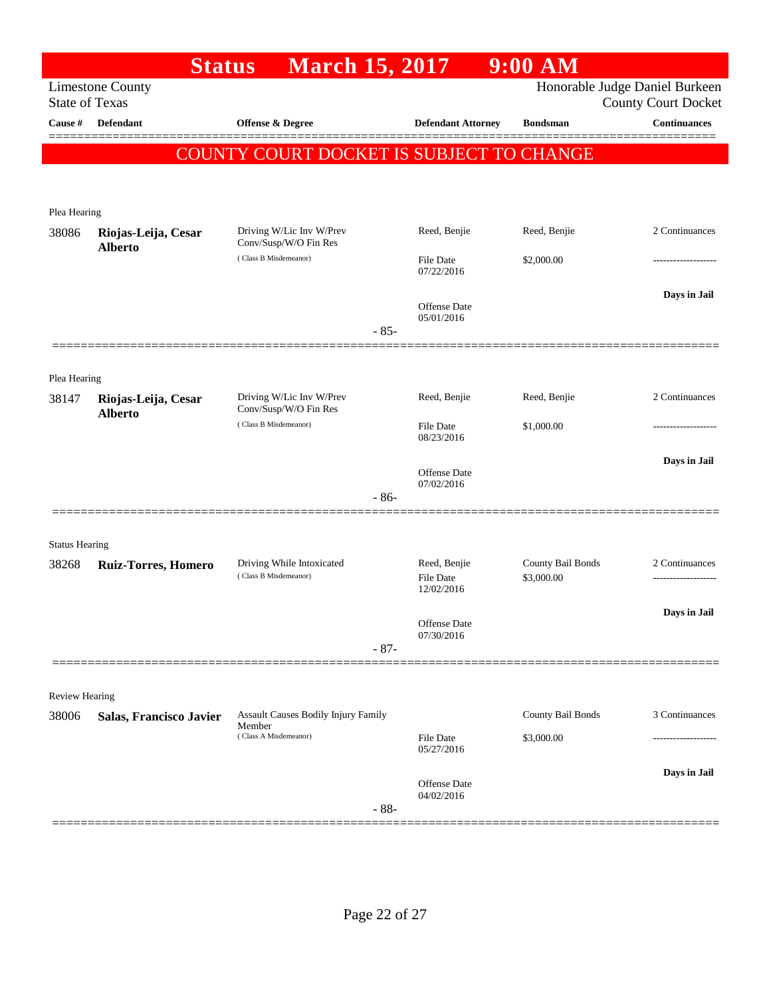|                       | <b>Status</b>                         | <b>March 15, 2017</b>                             |                                | $9:00$ AM         |                                                              |
|-----------------------|---------------------------------------|---------------------------------------------------|--------------------------------|-------------------|--------------------------------------------------------------|
| <b>State of Texas</b> | <b>Limestone County</b>               |                                                   |                                |                   | Honorable Judge Daniel Burkeen<br><b>County Court Docket</b> |
| Cause #               | <b>Defendant</b>                      | Offense & Degree                                  | <b>Defendant Attorney</b>      | <b>Bondsman</b>   | <b>Continuances</b>                                          |
|                       |                                       |                                                   |                                |                   |                                                              |
|                       |                                       | <b>COUNTY COURT DOCKET IS SUBJECT TO CHANGE</b>   |                                |                   |                                                              |
|                       |                                       |                                                   |                                |                   |                                                              |
| Plea Hearing          |                                       |                                                   |                                |                   |                                                              |
| 38086                 | Riojas-Leija, Cesar                   | Driving W/Lic Inv W/Prev<br>Conv/Susp/W/O Fin Res | Reed, Benjie                   | Reed, Benjie      | 2 Continuances                                               |
|                       | <b>Alberto</b>                        | (Class B Misdemeanor)                             | <b>File Date</b><br>07/22/2016 | \$2,000.00        |                                                              |
|                       |                                       |                                                   | Offense Date<br>05/01/2016     |                   | Days in Jail                                                 |
|                       |                                       | $-85-$                                            |                                |                   |                                                              |
|                       |                                       |                                                   |                                |                   |                                                              |
| Plea Hearing          |                                       |                                                   |                                |                   |                                                              |
| 38147                 | Riojas-Leija, Cesar<br><b>Alberto</b> | Driving W/Lic Inv W/Prev<br>Conv/Susp/W/O Fin Res | Reed, Benjie                   | Reed, Benjie      | 2 Continuances                                               |
|                       |                                       | (Class B Misdemeanor)                             | <b>File Date</b><br>08/23/2016 | \$1,000.00        |                                                              |
|                       |                                       |                                                   | Offense Date                   |                   | Days in Jail                                                 |
|                       |                                       | $-86-$                                            | 07/02/2016                     |                   |                                                              |
|                       |                                       |                                                   |                                |                   |                                                              |
| <b>Status Hearing</b> |                                       |                                                   |                                |                   |                                                              |
| 38268                 | <b>Ruiz-Torres, Homero</b>            | Driving While Intoxicated                         | Reed, Benjie                   | County Bail Bonds | 2 Continuances                                               |
|                       |                                       | (Class B Misdemeanor)                             | <b>File Date</b><br>12/02/2016 | \$3,000.00        | -------------------                                          |
|                       |                                       |                                                   | Offense Date                   |                   | Days in Jail                                                 |
|                       |                                       | $-87-$                                            | 07/30/2016                     |                   |                                                              |
|                       |                                       |                                                   |                                |                   |                                                              |
| Review Hearing        |                                       |                                                   |                                |                   |                                                              |
| 38006                 | Salas, Francisco Javier               | Assault Causes Bodily Injury Family               |                                | County Bail Bonds | 3 Continuances                                               |
|                       |                                       | Member<br>(Class A Misdemeanor)                   | File Date<br>05/27/2016        | \$3,000.00        |                                                              |
|                       |                                       |                                                   | <b>Offense Date</b>            |                   | Days in Jail                                                 |
|                       |                                       | $-88-$                                            | 04/02/2016                     |                   |                                                              |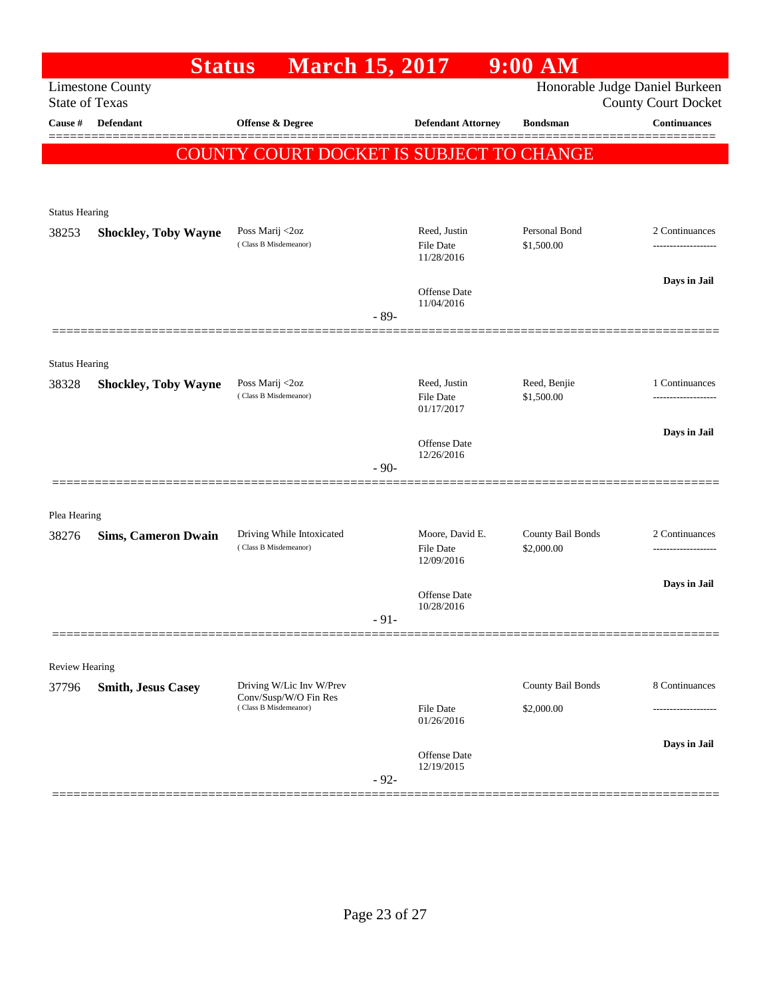| Honorable Judge Daniel Burkeen<br><b>Limestone County</b><br><b>State of Texas</b><br><b>County Court Docket</b><br><b>Defendant</b><br><b>Continuances</b><br>Cause #<br>Offense & Degree<br><b>Defendant Attorney</b><br><b>Bondsman</b><br><b>COUNTY COURT DOCKET IS SUBJECT TO CHANGE</b><br><b>Status Hearing</b><br>Personal Bond<br>Poss Marij <2oz<br>Reed, Justin<br>2 Continuances<br>38253<br><b>Shockley, Toby Wayne</b><br>(Class B Misdemeanor)<br>\$1,500.00<br>File Date<br>11/28/2016<br>Days in Jail<br>Offense Date<br>11/04/2016<br>$-89-$<br><b>Status Hearing</b><br>Reed, Justin<br>Reed, Benjie<br>Poss Marij <2oz<br>1 Continuances<br>38328<br><b>Shockley, Toby Wayne</b><br>(Class B Misdemeanor)<br>File Date<br>\$1,500.00<br>01/17/2017<br>Days in Jail<br>Offense Date<br>12/26/2016<br>$-90-$<br>Plea Hearing<br>Driving While Intoxicated<br>Moore, David E.<br>County Bail Bonds<br>2 Continuances<br>38276<br><b>Sims, Cameron Dwain</b><br>(Class B Misdemeanor)<br><b>File Date</b><br>\$2,000.00<br>12/09/2016<br>Days in Jail<br>Offense Date<br>10/28/2016<br>$-91-$<br>Review Hearing<br>County Bail Bonds<br>8 Continuances<br>Driving W/Lic Inv W/Prev<br>37796<br><b>Smith, Jesus Casey</b><br>Conv/Susp/W/O Fin Res<br>(Class B Misdemeanor)<br><b>File Date</b><br>\$2,000.00<br>01/26/2016<br>Days in Jail<br>Offense Date<br>12/19/2015<br>$-92-$ | <b>Status</b> | <b>March 15, 2017</b> |  | $9:00$ AM |  |
|----------------------------------------------------------------------------------------------------------------------------------------------------------------------------------------------------------------------------------------------------------------------------------------------------------------------------------------------------------------------------------------------------------------------------------------------------------------------------------------------------------------------------------------------------------------------------------------------------------------------------------------------------------------------------------------------------------------------------------------------------------------------------------------------------------------------------------------------------------------------------------------------------------------------------------------------------------------------------------------------------------------------------------------------------------------------------------------------------------------------------------------------------------------------------------------------------------------------------------------------------------------------------------------------------------------------------------------------------------------------------------------------------|---------------|-----------------------|--|-----------|--|
|                                                                                                                                                                                                                                                                                                                                                                                                                                                                                                                                                                                                                                                                                                                                                                                                                                                                                                                                                                                                                                                                                                                                                                                                                                                                                                                                                                                                    |               |                       |  |           |  |
|                                                                                                                                                                                                                                                                                                                                                                                                                                                                                                                                                                                                                                                                                                                                                                                                                                                                                                                                                                                                                                                                                                                                                                                                                                                                                                                                                                                                    |               |                       |  |           |  |
|                                                                                                                                                                                                                                                                                                                                                                                                                                                                                                                                                                                                                                                                                                                                                                                                                                                                                                                                                                                                                                                                                                                                                                                                                                                                                                                                                                                                    |               |                       |  |           |  |
|                                                                                                                                                                                                                                                                                                                                                                                                                                                                                                                                                                                                                                                                                                                                                                                                                                                                                                                                                                                                                                                                                                                                                                                                                                                                                                                                                                                                    |               |                       |  |           |  |
|                                                                                                                                                                                                                                                                                                                                                                                                                                                                                                                                                                                                                                                                                                                                                                                                                                                                                                                                                                                                                                                                                                                                                                                                                                                                                                                                                                                                    |               |                       |  |           |  |
|                                                                                                                                                                                                                                                                                                                                                                                                                                                                                                                                                                                                                                                                                                                                                                                                                                                                                                                                                                                                                                                                                                                                                                                                                                                                                                                                                                                                    |               |                       |  |           |  |
|                                                                                                                                                                                                                                                                                                                                                                                                                                                                                                                                                                                                                                                                                                                                                                                                                                                                                                                                                                                                                                                                                                                                                                                                                                                                                                                                                                                                    |               |                       |  |           |  |
|                                                                                                                                                                                                                                                                                                                                                                                                                                                                                                                                                                                                                                                                                                                                                                                                                                                                                                                                                                                                                                                                                                                                                                                                                                                                                                                                                                                                    |               |                       |  |           |  |
|                                                                                                                                                                                                                                                                                                                                                                                                                                                                                                                                                                                                                                                                                                                                                                                                                                                                                                                                                                                                                                                                                                                                                                                                                                                                                                                                                                                                    |               |                       |  |           |  |
|                                                                                                                                                                                                                                                                                                                                                                                                                                                                                                                                                                                                                                                                                                                                                                                                                                                                                                                                                                                                                                                                                                                                                                                                                                                                                                                                                                                                    |               |                       |  |           |  |
|                                                                                                                                                                                                                                                                                                                                                                                                                                                                                                                                                                                                                                                                                                                                                                                                                                                                                                                                                                                                                                                                                                                                                                                                                                                                                                                                                                                                    |               |                       |  |           |  |
|                                                                                                                                                                                                                                                                                                                                                                                                                                                                                                                                                                                                                                                                                                                                                                                                                                                                                                                                                                                                                                                                                                                                                                                                                                                                                                                                                                                                    |               |                       |  |           |  |
|                                                                                                                                                                                                                                                                                                                                                                                                                                                                                                                                                                                                                                                                                                                                                                                                                                                                                                                                                                                                                                                                                                                                                                                                                                                                                                                                                                                                    |               |                       |  |           |  |
|                                                                                                                                                                                                                                                                                                                                                                                                                                                                                                                                                                                                                                                                                                                                                                                                                                                                                                                                                                                                                                                                                                                                                                                                                                                                                                                                                                                                    |               |                       |  |           |  |
|                                                                                                                                                                                                                                                                                                                                                                                                                                                                                                                                                                                                                                                                                                                                                                                                                                                                                                                                                                                                                                                                                                                                                                                                                                                                                                                                                                                                    |               |                       |  |           |  |
|                                                                                                                                                                                                                                                                                                                                                                                                                                                                                                                                                                                                                                                                                                                                                                                                                                                                                                                                                                                                                                                                                                                                                                                                                                                                                                                                                                                                    |               |                       |  |           |  |
|                                                                                                                                                                                                                                                                                                                                                                                                                                                                                                                                                                                                                                                                                                                                                                                                                                                                                                                                                                                                                                                                                                                                                                                                                                                                                                                                                                                                    |               |                       |  |           |  |
|                                                                                                                                                                                                                                                                                                                                                                                                                                                                                                                                                                                                                                                                                                                                                                                                                                                                                                                                                                                                                                                                                                                                                                                                                                                                                                                                                                                                    |               |                       |  |           |  |
|                                                                                                                                                                                                                                                                                                                                                                                                                                                                                                                                                                                                                                                                                                                                                                                                                                                                                                                                                                                                                                                                                                                                                                                                                                                                                                                                                                                                    |               |                       |  |           |  |
|                                                                                                                                                                                                                                                                                                                                                                                                                                                                                                                                                                                                                                                                                                                                                                                                                                                                                                                                                                                                                                                                                                                                                                                                                                                                                                                                                                                                    |               |                       |  |           |  |
|                                                                                                                                                                                                                                                                                                                                                                                                                                                                                                                                                                                                                                                                                                                                                                                                                                                                                                                                                                                                                                                                                                                                                                                                                                                                                                                                                                                                    |               |                       |  |           |  |
|                                                                                                                                                                                                                                                                                                                                                                                                                                                                                                                                                                                                                                                                                                                                                                                                                                                                                                                                                                                                                                                                                                                                                                                                                                                                                                                                                                                                    |               |                       |  |           |  |
|                                                                                                                                                                                                                                                                                                                                                                                                                                                                                                                                                                                                                                                                                                                                                                                                                                                                                                                                                                                                                                                                                                                                                                                                                                                                                                                                                                                                    |               |                       |  |           |  |
|                                                                                                                                                                                                                                                                                                                                                                                                                                                                                                                                                                                                                                                                                                                                                                                                                                                                                                                                                                                                                                                                                                                                                                                                                                                                                                                                                                                                    |               |                       |  |           |  |
|                                                                                                                                                                                                                                                                                                                                                                                                                                                                                                                                                                                                                                                                                                                                                                                                                                                                                                                                                                                                                                                                                                                                                                                                                                                                                                                                                                                                    |               |                       |  |           |  |
|                                                                                                                                                                                                                                                                                                                                                                                                                                                                                                                                                                                                                                                                                                                                                                                                                                                                                                                                                                                                                                                                                                                                                                                                                                                                                                                                                                                                    |               |                       |  |           |  |
|                                                                                                                                                                                                                                                                                                                                                                                                                                                                                                                                                                                                                                                                                                                                                                                                                                                                                                                                                                                                                                                                                                                                                                                                                                                                                                                                                                                                    |               |                       |  |           |  |
|                                                                                                                                                                                                                                                                                                                                                                                                                                                                                                                                                                                                                                                                                                                                                                                                                                                                                                                                                                                                                                                                                                                                                                                                                                                                                                                                                                                                    |               |                       |  |           |  |
|                                                                                                                                                                                                                                                                                                                                                                                                                                                                                                                                                                                                                                                                                                                                                                                                                                                                                                                                                                                                                                                                                                                                                                                                                                                                                                                                                                                                    |               |                       |  |           |  |
|                                                                                                                                                                                                                                                                                                                                                                                                                                                                                                                                                                                                                                                                                                                                                                                                                                                                                                                                                                                                                                                                                                                                                                                                                                                                                                                                                                                                    |               |                       |  |           |  |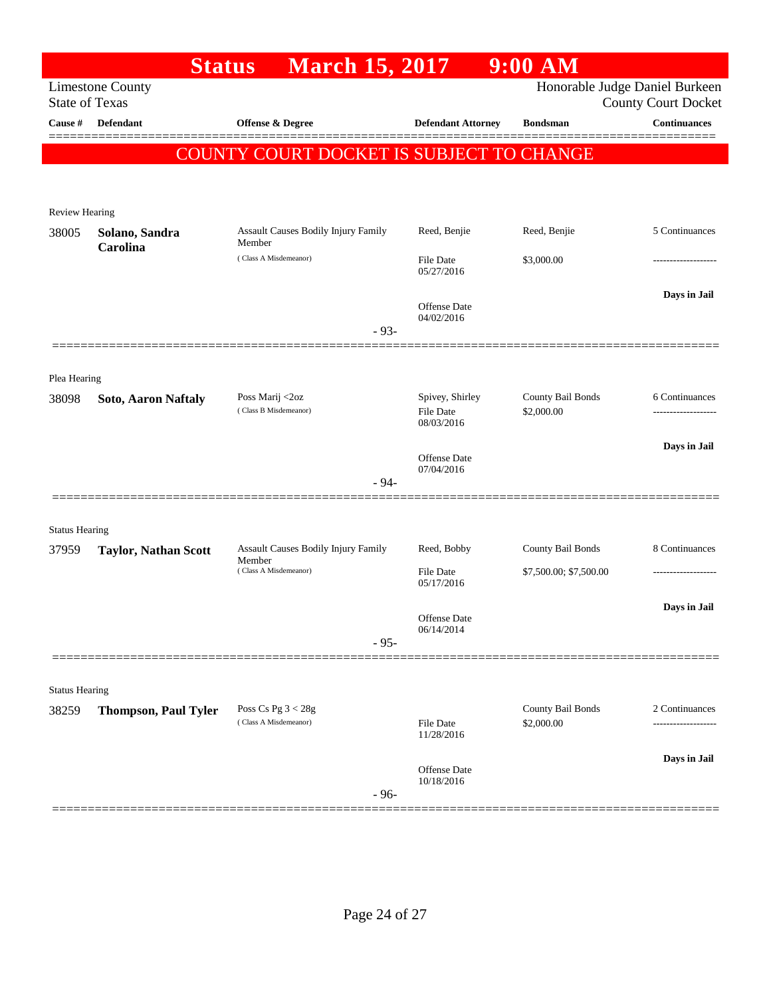|                       | <b>Status</b>               | <b>March 15, 2017</b>                           |                                   | $9:00$ AM                       |                                                   |
|-----------------------|-----------------------------|-------------------------------------------------|-----------------------------------|---------------------------------|---------------------------------------------------|
| <b>State of Texas</b> | <b>Limestone County</b>     |                                                 |                                   |                                 | Honorable Judge Daniel Burkeen                    |
| Cause #               | Defendant                   | Offense & Degree                                | <b>Defendant Attorney</b>         | <b>Bondsman</b>                 | <b>County Court Docket</b><br><b>Continuances</b> |
|                       |                             |                                                 |                                   |                                 |                                                   |
|                       |                             | <b>COUNTY COURT DOCKET IS SUBJECT TO CHANGE</b> |                                   |                                 |                                                   |
|                       |                             |                                                 |                                   |                                 |                                                   |
| <b>Review Hearing</b> |                             |                                                 |                                   |                                 |                                                   |
| 38005                 | Solano, Sandra              | Assault Causes Bodily Injury Family<br>Member   | Reed, Benjie                      | Reed, Benjie                    | 5 Continuances                                    |
|                       | Carolina                    | (Class A Misdemeanor)                           | File Date                         | \$3,000.00                      |                                                   |
|                       |                             |                                                 | 05/27/2016                        |                                 |                                                   |
|                       |                             |                                                 | Offense Date                      |                                 | Days in Jail                                      |
|                       |                             | $-93-$                                          | 04/02/2016                        |                                 |                                                   |
|                       |                             |                                                 |                                   |                                 |                                                   |
| Plea Hearing          |                             |                                                 |                                   |                                 |                                                   |
| 38098                 | Soto, Aaron Naftaly         | Poss Marij <2oz                                 | Spivey, Shirley                   | County Bail Bonds               | 6 Continuances                                    |
|                       |                             | (Class B Misdemeanor)                           | File Date<br>08/03/2016           | \$2,000.00                      |                                                   |
|                       |                             |                                                 |                                   |                                 | Days in Jail                                      |
|                       |                             |                                                 | <b>Offense</b> Date<br>07/04/2016 |                                 |                                                   |
|                       |                             | $-94-$                                          |                                   |                                 |                                                   |
|                       |                             |                                                 |                                   |                                 |                                                   |
| <b>Status Hearing</b> |                             |                                                 |                                   |                                 |                                                   |
| 37959                 | <b>Taylor, Nathan Scott</b> | Assault Causes Bodily Injury Family<br>Member   | Reed, Bobby                       | County Bail Bonds               | 8 Continuances                                    |
|                       |                             | (Class A Misdemeanor)                           | File Date<br>05/17/2016           | \$7,500.00; \$7,500.00          |                                                   |
|                       |                             |                                                 |                                   |                                 | Days in Jail                                      |
|                       |                             |                                                 | Offense Date<br>06/14/2014        |                                 |                                                   |
|                       |                             | $-95-$                                          |                                   |                                 |                                                   |
|                       |                             |                                                 |                                   |                                 |                                                   |
| <b>Status Hearing</b> |                             |                                                 |                                   |                                 |                                                   |
| 38259                 | <b>Thompson, Paul Tyler</b> | Poss Cs Pg $3 < 28g$<br>(Class A Misdemeanor)   | File Date                         | County Bail Bonds<br>\$2,000.00 | 2 Continuances<br>.                               |
|                       |                             |                                                 | 11/28/2016                        |                                 |                                                   |
|                       |                             |                                                 | Offense Date                      |                                 | Days in Jail                                      |
|                       |                             | $-96-$                                          | 10/18/2016                        |                                 |                                                   |
|                       |                             |                                                 |                                   |                                 |                                                   |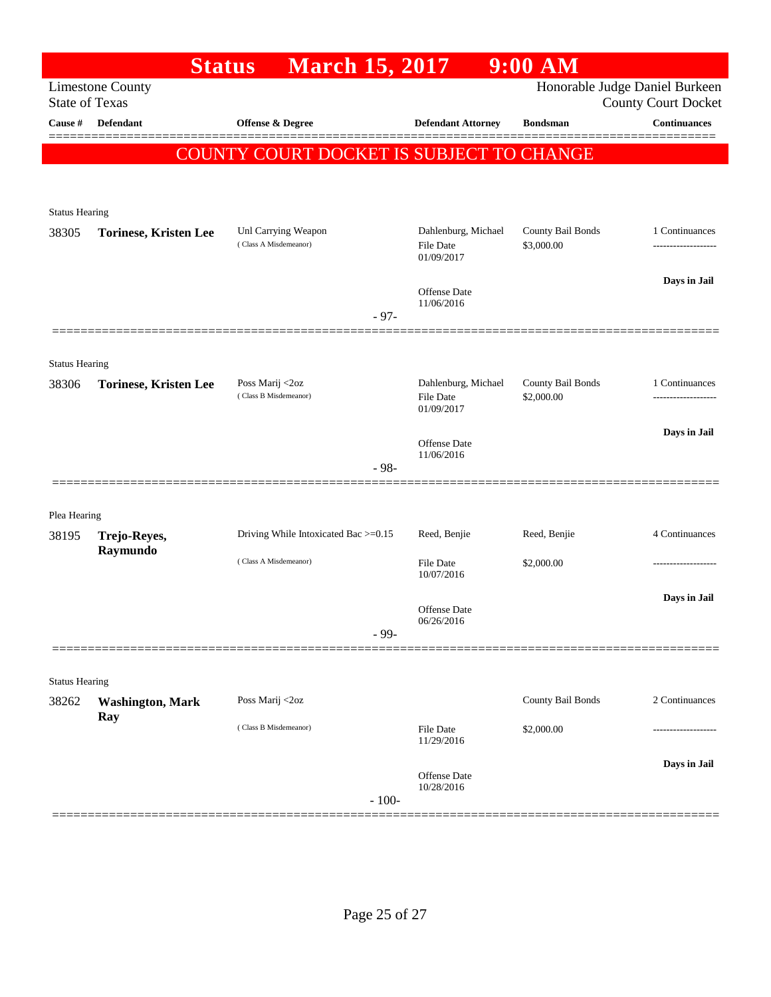|                                                                                    | <b>Status</b>                | <b>March 15, 2017</b>                        |                                         | $9:00$ AM                       |                                                   |  |  |  |  |
|------------------------------------------------------------------------------------|------------------------------|----------------------------------------------|-----------------------------------------|---------------------------------|---------------------------------------------------|--|--|--|--|
| Honorable Judge Daniel Burkeen<br><b>Limestone County</b><br><b>State of Texas</b> |                              |                                              |                                         |                                 |                                                   |  |  |  |  |
| Cause #                                                                            | Defendant                    | <b>Offense &amp; Degree</b>                  | <b>Defendant Attorney</b>               | <b>Bondsman</b>                 | <b>County Court Docket</b><br><b>Continuances</b> |  |  |  |  |
|                                                                                    |                              |                                              |                                         |                                 |                                                   |  |  |  |  |
| COUNTY COURT DOCKET IS SUBJECT TO CHANGE                                           |                              |                                              |                                         |                                 |                                                   |  |  |  |  |
|                                                                                    |                              |                                              |                                         |                                 |                                                   |  |  |  |  |
| <b>Status Hearing</b>                                                              |                              |                                              |                                         |                                 |                                                   |  |  |  |  |
| 38305                                                                              | <b>Torinese, Kristen Lee</b> | Unl Carrying Weapon<br>(Class A Misdemeanor) | Dahlenburg, Michael<br><b>File Date</b> | County Bail Bonds<br>\$3,000.00 | 1 Continuances<br>-------------------             |  |  |  |  |
|                                                                                    |                              |                                              | 01/09/2017                              |                                 |                                                   |  |  |  |  |
|                                                                                    |                              |                                              | <b>Offense Date</b>                     |                                 | Days in Jail                                      |  |  |  |  |
|                                                                                    |                              | $-97-$                                       | 11/06/2016                              |                                 |                                                   |  |  |  |  |
|                                                                                    |                              |                                              |                                         |                                 |                                                   |  |  |  |  |
| <b>Status Hearing</b>                                                              |                              |                                              |                                         |                                 |                                                   |  |  |  |  |
| 38306                                                                              | <b>Torinese, Kristen Lee</b> | Poss Marij <2oz<br>(Class B Misdemeanor)     | Dahlenburg, Michael                     | County Bail Bonds               | 1 Continuances                                    |  |  |  |  |
|                                                                                    |                              |                                              | <b>File Date</b><br>01/09/2017          | \$2,000.00                      |                                                   |  |  |  |  |
|                                                                                    |                              |                                              | Offense Date                            |                                 | Days in Jail                                      |  |  |  |  |
|                                                                                    |                              | $-98-$                                       | 11/06/2016                              |                                 |                                                   |  |  |  |  |
|                                                                                    |                              |                                              |                                         |                                 |                                                   |  |  |  |  |
| Plea Hearing                                                                       |                              |                                              |                                         |                                 |                                                   |  |  |  |  |
| 38195                                                                              | Trejo-Reyes,                 | Driving While Intoxicated Bac >=0.15         | Reed, Benjie                            | Reed, Benjie                    | 4 Continuances                                    |  |  |  |  |
|                                                                                    | Raymundo                     | (Class A Misdemeanor)                        | <b>File Date</b>                        | \$2,000.00                      | .                                                 |  |  |  |  |
|                                                                                    |                              |                                              | 10/07/2016                              |                                 |                                                   |  |  |  |  |
|                                                                                    |                              |                                              | <b>Offense Date</b>                     |                                 | Days in Jail                                      |  |  |  |  |
|                                                                                    |                              | $-99-$                                       | 06/26/2016                              |                                 |                                                   |  |  |  |  |
|                                                                                    |                              |                                              |                                         |                                 |                                                   |  |  |  |  |
| <b>Status Hearing</b>                                                              |                              |                                              |                                         |                                 |                                                   |  |  |  |  |
| 38262                                                                              | <b>Washington, Mark</b>      | Poss Marij <2oz                              |                                         | County Bail Bonds               | 2 Continuances                                    |  |  |  |  |
|                                                                                    | Ray                          | (Class B Misdemeanor)                        | File Date                               | \$2,000.00                      |                                                   |  |  |  |  |
|                                                                                    |                              |                                              | 11/29/2016                              |                                 |                                                   |  |  |  |  |
|                                                                                    |                              |                                              | <b>Offense</b> Date                     |                                 | Days in Jail                                      |  |  |  |  |
|                                                                                    |                              | $-100-$                                      | 10/28/2016                              |                                 |                                                   |  |  |  |  |
|                                                                                    |                              |                                              |                                         |                                 |                                                   |  |  |  |  |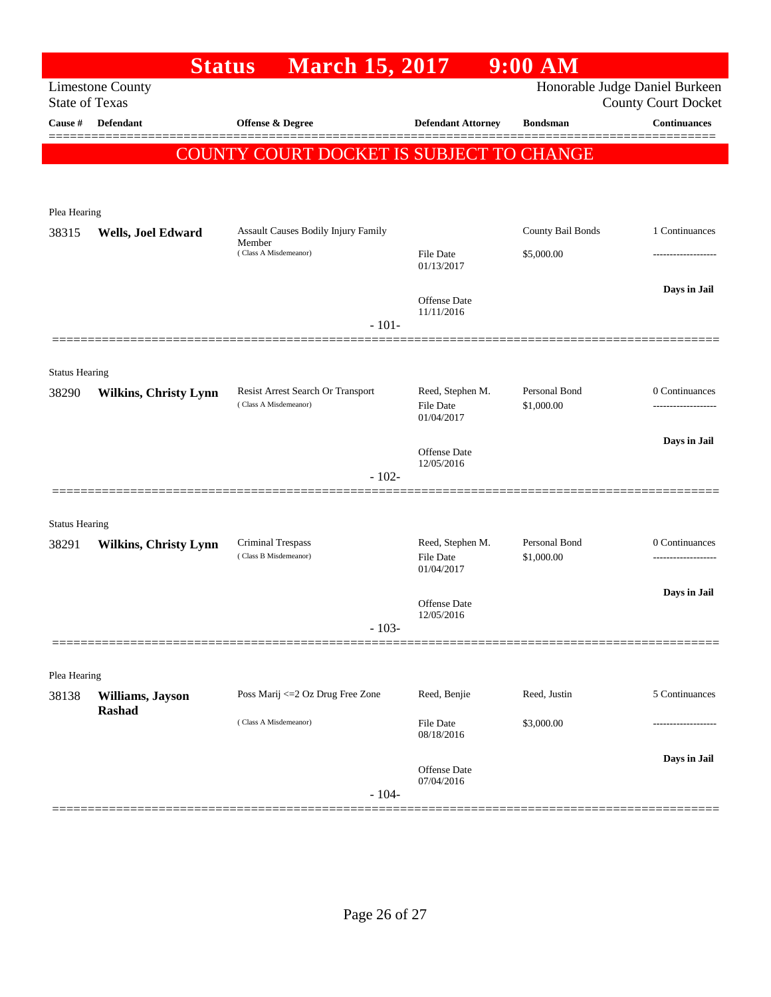|                                                                                                                  | <b>Status</b>                     | <b>March 15, 2017</b>                                                  |                                      | $9:00$ $\overline{\text{AM}}$ |                                      |  |  |  |
|------------------------------------------------------------------------------------------------------------------|-----------------------------------|------------------------------------------------------------------------|--------------------------------------|-------------------------------|--------------------------------------|--|--|--|
| Honorable Judge Daniel Burkeen<br><b>Limestone County</b><br><b>State of Texas</b><br><b>County Court Docket</b> |                                   |                                                                        |                                      |                               |                                      |  |  |  |
| Cause #                                                                                                          | <b>Defendant</b>                  | Offense & Degree                                                       | <b>Defendant Attorney</b>            | <b>Bondsman</b>               | <b>Continuances</b>                  |  |  |  |
|                                                                                                                  |                                   |                                                                        |                                      |                               |                                      |  |  |  |
| COUNTY COURT DOCKET IS SUBJECT TO CHANGE                                                                         |                                   |                                                                        |                                      |                               |                                      |  |  |  |
|                                                                                                                  |                                   |                                                                        |                                      |                               |                                      |  |  |  |
| Plea Hearing                                                                                                     |                                   |                                                                        |                                      |                               |                                      |  |  |  |
| 38315                                                                                                            | Wells, Joel Edward                | Assault Causes Bodily Injury Family<br>Member<br>(Class A Misdemeanor) |                                      | County Bail Bonds             | 1 Continuances                       |  |  |  |
|                                                                                                                  |                                   |                                                                        | <b>File Date</b><br>01/13/2017       | \$5,000.00                    |                                      |  |  |  |
|                                                                                                                  |                                   |                                                                        |                                      |                               | Days in Jail                         |  |  |  |
|                                                                                                                  |                                   |                                                                        | <b>Offense Date</b><br>11/11/2016    |                               |                                      |  |  |  |
|                                                                                                                  |                                   | $-101-$                                                                |                                      |                               |                                      |  |  |  |
|                                                                                                                  |                                   |                                                                        |                                      |                               |                                      |  |  |  |
| <b>Status Hearing</b><br>38290                                                                                   | <b>Wilkins, Christy Lynn</b>      | Resist Arrest Search Or Transport                                      | Reed, Stephen M.                     | Personal Bond                 | 0 Continuances                       |  |  |  |
|                                                                                                                  |                                   | (Class A Misdemeanor)                                                  | <b>File Date</b>                     | \$1,000.00                    |                                      |  |  |  |
|                                                                                                                  |                                   |                                                                        | 01/04/2017                           |                               |                                      |  |  |  |
|                                                                                                                  |                                   |                                                                        | Offense Date<br>12/05/2016           |                               | Days in Jail                         |  |  |  |
|                                                                                                                  |                                   | $-102-$                                                                |                                      |                               |                                      |  |  |  |
|                                                                                                                  |                                   |                                                                        |                                      |                               |                                      |  |  |  |
| <b>Status Hearing</b>                                                                                            |                                   |                                                                        |                                      |                               |                                      |  |  |  |
| 38291                                                                                                            | <b>Wilkins, Christy Lynn</b>      | Criminal Trespass<br>(Class B Misdemeanor)                             | Reed, Stephen M.<br><b>File Date</b> | Personal Bond<br>\$1,000.00   | 0 Continuances<br>------------------ |  |  |  |
|                                                                                                                  |                                   |                                                                        | 01/04/2017                           |                               |                                      |  |  |  |
|                                                                                                                  |                                   |                                                                        | Offense Date                         |                               | Days in Jail                         |  |  |  |
|                                                                                                                  |                                   | $-103-$                                                                | 12/05/2016                           |                               |                                      |  |  |  |
|                                                                                                                  |                                   |                                                                        |                                      |                               |                                      |  |  |  |
| Plea Hearing                                                                                                     |                                   |                                                                        |                                      |                               |                                      |  |  |  |
| 38138                                                                                                            | Williams, Jayson<br><b>Rashad</b> | Poss Marij <= 2 Oz Drug Free Zone                                      | Reed, Benjie                         | Reed, Justin                  | 5 Continuances                       |  |  |  |
|                                                                                                                  |                                   | (Class A Misdemeanor)                                                  | File Date                            | \$3,000.00                    |                                      |  |  |  |
|                                                                                                                  |                                   |                                                                        | 08/18/2016                           |                               |                                      |  |  |  |
|                                                                                                                  |                                   |                                                                        | <b>Offense Date</b>                  |                               | Days in Jail                         |  |  |  |
|                                                                                                                  |                                   | $-104-$                                                                | 07/04/2016                           |                               |                                      |  |  |  |
|                                                                                                                  |                                   |                                                                        |                                      |                               |                                      |  |  |  |